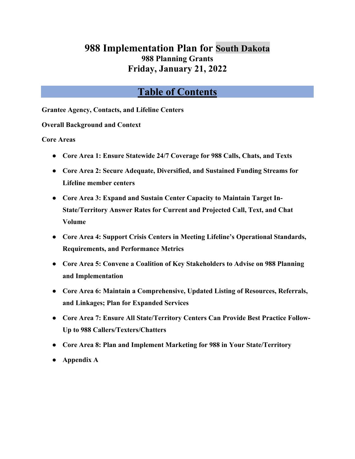# **988 Implementation Plan for South Dakota 988 Planning Grants Friday, January 21, 2022**

# **Table of Contents**

**[Grantee Agency, Contacts, and Lifeline Centers](#page-1-0)**

**[Overall Background and Context](#page-2-0)**

**Core Areas**

- **[Core Area 1: Ensure Statewide 24/7 Coverage for](#page-7-0) 988 Calls, Chats, and Texts**
- **Core Area 2: Secure Adequate, Diversified, and Sustained Funding Streams for Lifeline member centers**
- **[Core Area 3: Expand and Sustain Center Capacity to Maintain Target In-](#page-18-0)[State/Territory Answer Rates for Current and Projected Call, Text, and Chat](#page-18-0)  [Volume](#page-18-0)**
- **Core Area 4: Support Crisis Centers in Meeting Lifeline's Operational Standards, Requirements, and Performance Metrics**
- **[Core Area 5: Convene a Coalition of Key Stakeholders to Advise on](#page-24-0) 988 Planning [and Implementation](#page-24-0)**
- **[Core Area 6: Maintain a Comprehensive, Updated Listing of Resources, Referrals,](#page-30-0)  [and Linkages; Plan for Expanded Services](#page-30-0)**
- **[Core Area 7: Ensure All State/Territory Centers Can Provide Best Practice Follow-](#page-38-0)Up to 988 [Callers/Texters/Chatters](#page-38-0)**
- **[Core Area 8: Plan and Implement Marketing for](#page-41-0) 988 in Your State/Territory**
- **[Appendix A](#page-44-0)**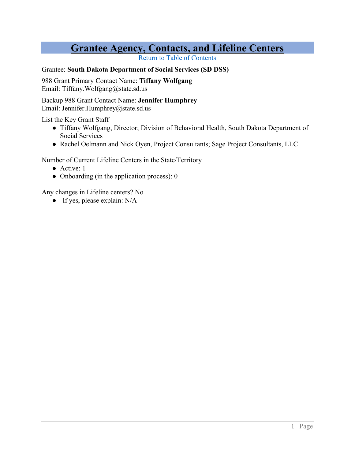# **Grantee Agency, Contacts, and Lifeline Centers**

Return to Table of Contents

#### <span id="page-1-0"></span>Grantee: **South Dakota Department of Social Services (SD DSS)**

988 Grant Primary Contact Name: **Tiffany Wolfgang** Email: Tiffany.Wolfgang@state.sd.us

Backup 988 Grant Contact Name: **Jennifer Humphrey** Email: Jennifer.Humphrey@state.sd.us

List the Key Grant Staff

- Tiffany Wolfgang, Director; Division of Behavioral Health, South Dakota Department of Social Services
- Rachel Oelmann and Nick Oyen, Project Consultants; Sage Project Consultants, LLC

Number of Current Lifeline Centers in the State/Territory

- Active: 1
- Onboarding (in the application process): 0

Any changes in Lifeline centers? No

**●** If yes, please explain: N/A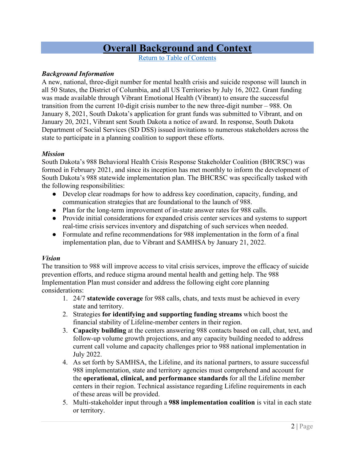# **Overall Background and Context**

Return to Table of Contents

#### <span id="page-2-0"></span>*Background Information*

A new, national, three-digit number for mental health crisis and suicide response will launch in all 50 States, the District of Columbia, and all US Territories by July 16, 2022. Grant funding was made available through Vibrant Emotional Health (Vibrant) to ensure the successful transition from the current 10-digit crisis number to the new three-digit number – 988. On January 8, 2021, South Dakota's application for grant funds was submitted to Vibrant, and on January 20, 2021, Vibrant sent South Dakota a notice of award. In response, South Dakota Department of Social Services (SD DSS) issued invitations to numerous stakeholders across the state to participate in a planning coalition to support these efforts.

#### *Mission*

South Dakota's 988 Behavioral Health Crisis Response Stakeholder Coalition (BHCRSC) was formed in February 2021, and since its inception has met monthly to inform the development of South Dakota's 988 statewide implementation plan. The BHCRSC was specifically tasked with the following responsibilities:

- Develop clear roadmaps for how to address key coordination, capacity, funding, and communication strategies that are foundational to the launch of 988.
- Plan for the long-term improvement of in-state answer rates for 988 calls.
- Provide initial considerations for expanded crisis center services and systems to support real-time crisis services inventory and dispatching of such services when needed.
- Formulate and refine recommendations for 988 implementation in the form of a final implementation plan, due to Vibrant and SAMHSA by January 21, 2022.

### *Vision*

The transition to 988 will improve access to vital crisis services, improve the efficacy of suicide prevention efforts, and reduce stigma around mental health and getting help. The 988 Implementation Plan must consider and address the following eight core planning considerations:

- 1. 24/7 **statewide coverage** for 988 calls, chats, and texts must be achieved in every state and territory.
- 2. Strategies **for identifying and supporting funding streams** which boost the financial stability of Lifeline-member centers in their region.
- 3. **Capacity building** at the centers answering 988 contacts based on call, chat, text, and follow-up volume growth projections, and any capacity building needed to address current call volume and capacity challenges prior to 988 national implementation in July 2022.
- 4. As set forth by SAMHSA, the Lifeline, and its national partners, to assure successful 988 implementation, state and territory agencies must comprehend and account for the **operational, clinical, and performance standards** for all the Lifeline member centers in their region. Technical assistance regarding Lifeline requirements in each of these areas will be provided.
- 5. Multi-stakeholder input through a **988 implementation coalition** is vital in each state or territory.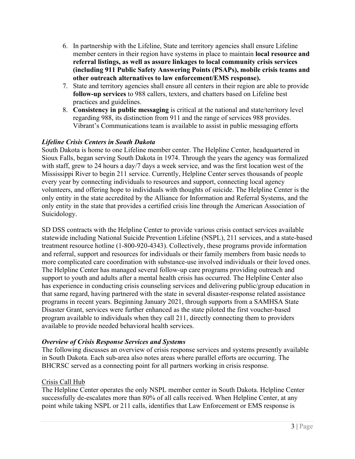- 6. In partnership with the Lifeline, State and territory agencies shall ensure Lifeline member centers in their region have systems in place to maintain **local resource and referral listings, as well as assure linkages to local community crisis services (including 911 Public Safety Answering Points (PSAPs), mobile crisis teams and other outreach alternatives to law enforcement/EMS response).**
- 7. State and territory agencies shall ensure all centers in their region are able to provide **follow-up services** to 988 callers, texters, and chatters based on Lifeline best practices and guidelines.
- 8. **Consistency in public messaging** is critical at the national and state/territory level regarding 988, its distinction from 911 and the range of services 988 provides. Vibrant's Communications team is available to assist in public messaging efforts

### *Lifeline Crisis Centers in South Dakota*

South Dakota is home to one Lifeline member center. The Helpline Center, headquartered in Sioux Falls, began serving South Dakota in 1974. Through the years the agency was formalized with staff, grew to 24 hours a day/7 days a week service, and was the first location west of the Mississippi River to begin 211 service. Currently, Helpline Center serves thousands of people every year by connecting individuals to resources and support, connecting local agency volunteers, and offering hope to individuals with thoughts of suicide. The Helpline Center is the only entity in the state accredited by the Alliance for Information and Referral Systems, and the only entity in the state that provides a certified crisis line through the American Association of Suicidology.

SD DSS contracts with the Helpline Center to provide various crisis contact services available statewide including National Suicide Prevention Lifeline (NSPL), 211 services, and a state-based treatment resource hotline (1-800-920-4343). Collectively, these programs provide information and referral, support and resources for individuals or their family members from basic needs to more complicated care coordination with substance-use involved individuals or their loved ones. The Helpline Center has managed several follow-up care programs providing outreach and support to youth and adults after a mental health crisis has occurred. The Helpline Center also has experience in conducting crisis counseling services and delivering public/group education in that same regard, having partnered with the state in several disaster-response related assistance programs in recent years. Beginning January 2021, through supports from a SAMHSA State Disaster Grant, services were further enhanced as the state piloted the first voucher-based program available to individuals when they call 211, directly connecting them to providers available to provide needed behavioral health services.

### *Overview of Crisis Response Services and Systems*

The following discusses an overview of crisis response services and systems presently available in South Dakota. Each sub-area also notes areas where parallel efforts are occurring. The BHCRSC served as a connecting point for all partners working in crisis response.

### Crisis Call Hub

The Helpline Center operates the only NSPL member center in South Dakota. Helpline Center successfully de-escalates more than 80% of all calls received. When Helpline Center, at any point while taking NSPL or 211 calls, identifies that Law Enforcement or EMS response is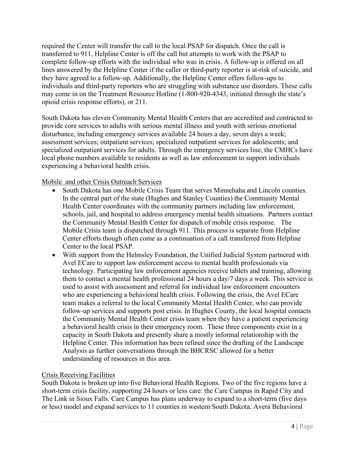required the Center will transfer the call to the local PSAP for dispatch. Once the call is transferred to 911, Helpline Center is off the call but attempts to work with the PSAP to complete follow-up efforts with the individual who was in crisis. A follow-up is offered on all lines answered by the Helpline Center if the caller or third-party reporter is at-risk of suicide, and they have agreed to a follow-up. Additionally, the Helpline Center offers follow-ups to individuals and third-party reporters who are struggling with substance use disorders. These calls may come in on the Treatment Resource Hotline (1-800-920-4343, initiated through the state's opioid crisis response efforts), or 211.

South Dakota has eleven Community Mental Health Centers that are accredited and contracted to provide core services to adults with serious mental illness and youth with serious emotional disturbance, including emergency services available 24 hours a day, seven days a week; assessment services; outpatient services; specialized outpatient services for adolescents; and specialized outpatient services for adults. Through the emergency services line, the CMHCs have local phone numbers available to residents as well as law enforcement to support individuals experiencing a behavioral health crisis.

Mobile and other Crisis Outreach Services

- South Dakota has one Mobile Crisis Team that serves Minnehaha and Lincoln counties. In the central part of the state (Hughes and Stanley Counties) the Community Mental Health Center coordinates with the community partners including law enforcement, schools, jail, and hospital to address emergency mental health situations. Partners contact the Community Mental Health Center for dispatch of mobile crisis response. The Mobile Crisis team is dispatched through 911. This process is separate from Helpline Center efforts though often come as a continuation of a call transferred from Helpline Center to the local PSAP.
- With support from the Helmsley Foundation, the Unified Judicial System partnered with Avel ECare to support law enforcement access to mental health professionals via technology. Participating law enforcement agencies receive tablets and training, allowing them to contact a mental health professional 24 hours a day/7 days a week. This service is used to assist with assessment and referral for individual law enforcement encounters who are experiencing a behavioral health crisis. Following the crisis, the Avel ECare team makes a referral to the local Community Mental Health Center, who can provide follow-up services and supports post crisis. In Hughes County, the local hospital contacts the Community Mental Health Center crisis team when they have a patient experiencing a behavioral health crisis in their emergency room. These three components exist in a capacity in South Dakota and presently share a mostly informal relationship with the Helpline Center. This information has been refined since the drafting of the Landscape Analysis as further conversations through the BHCRSC allowed for a better understanding of resources in this area.

### Crisis Receiving Facilities

South Dakota is broken up into five Behavioral Health Regions. Two of the five regions have a short-term crisis facility, supporting 24 hours or less care: the Care Campus in Rapid City and The Link in Sioux Falls. Care Campus has plans underway to expand to a short-term (five days or less) model and expand services to 11 counties in western South Dakota. Avera Behavioral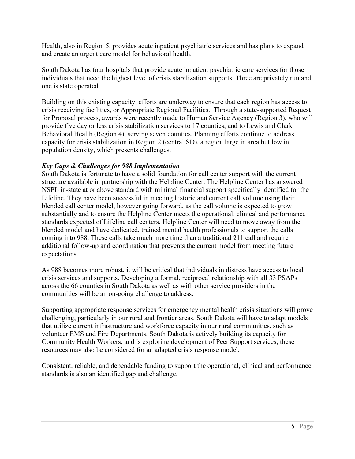Health, also in Region 5, provides acute inpatient psychiatric services and has plans to expand and create an urgent care model for behavioral health.

South Dakota has four hospitals that provide acute inpatient psychiatric care services for those individuals that need the highest level of crisis stabilization supports. Three are privately run and one is state operated.

Building on this existing capacity, efforts are underway to ensure that each region has access to crisis receiving facilities, or Appropriate Regional Facilities. Through a state-supported Request for Proposal process, awards were recently made to Human Service Agency (Region 3), who will provide five day or less crisis stabilization services to 17 counties, and to Lewis and Clark Behavioral Health (Region 4), serving seven counties. Planning efforts continue to address capacity for crisis stabilization in Region 2 (central SD), a region large in area but low in population density, which presents challenges.

### *Key Gaps & Challenges for 988 Implementation*

South Dakota is fortunate to have a solid foundation for call center support with the current structure available in partnership with the Helpline Center. The Helpline Center has answered NSPL in-state at or above standard with minimal financial support specifically identified for the Lifeline. They have been successful in meeting historic and current call volume using their blended call center model, however going forward, as the call volume is expected to grow substantially and to ensure the Helpline Center meets the operational, clinical and performance standards expected of Lifeline call centers, Helpline Center will need to move away from the blended model and have dedicated, trained mental health professionals to support the calls coming into 988. These calls take much more time than a traditional 211 call and require additional follow-up and coordination that prevents the current model from meeting future expectations.

As 988 becomes more robust, it will be critical that individuals in distress have access to local crisis services and supports. Developing a formal, reciprocal relationship with all 33 PSAPs across the 66 counties in South Dakota as well as with other service providers in the communities will be an on-going challenge to address.

Supporting appropriate response services for emergency mental health crisis situations will prove challenging, particularly in our rural and frontier areas. South Dakota will have to adapt models that utilize current infrastructure and workforce capacity in our rural communities, such as volunteer EMS and Fire Departments. South Dakota is actively building its capacity for Community Health Workers, and is exploring development of Peer Support services; these resources may also be considered for an adapted crisis response model.

Consistent, reliable, and dependable funding to support the operational, clinical and performance standards is also an identified gap and challenge.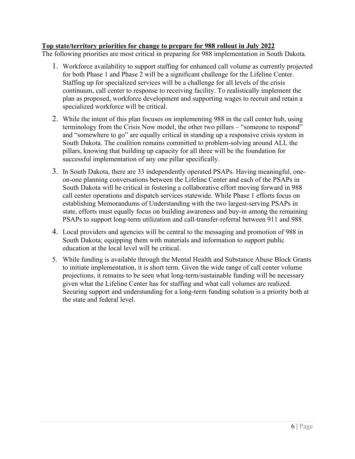#### **Top state/territory priorities for change to prepare for 988 rollout in July 2022**

The following priorities are most critical in preparing for 988 implementation in South Dakota.

- 1. Workforce availability to support staffing for enhanced call volume as currently projected for both Phase 1 and Phase 2 will be a significant challenge for the Lifeline Center. Staffing up for specialized services will be a challenge for all levels of the crisis continuum, call center to response to receiving facility. To realistically implement the plan as proposed, workforce development and supporting wages to recruit and retain a specialized workforce will be critical.
- 2. While the intent of this plan focuses on implementing 988 in the call center hub, using terminology from the Crisis Now model, the other two pillars – "someone to respond" and "somewhere to go" are equally critical in standing up a responsive crisis system in South Dakota. The coalition remains committed to problem-solving around ALL the pillars, knowing that building up capacity for all three will be the foundation for successful implementation of any one pillar specifically.
- 3. In South Dakota, there are 33 independently operated PSAPs. Having meaningful, oneon-one planning conversations between the Lifeline Center and each of the PSAPs in South Dakota will be critical in fostering a collaborative effort moving forward in 988 call center operations and dispatch services statewide. While Phase 1 efforts focus on establishing Memorandums of Understanding with the two largest-serving PSAPs in state, efforts must equally focus on building awareness and buy-in among the remaining PSAPs to support long-term utilization and call-transfer-referral between 911 and 988.
- 4. Local providers and agencies will be central to the messaging and promotion of 988 in South Dakota; equipping them with materials and information to support public education at the local level will be critical.
- 5. While funding is available through the Mental Health and Substance Abuse Block Grants to initiate implementation, it is short term. Given the wide range of call center volume projections, it remains to be seen what long-term/sustainable funding will be necessary given what the Lifeline Center has for staffing and what call volumes are realized. Securing support and understanding for a long-term funding solution is a priority both at the state and federal level.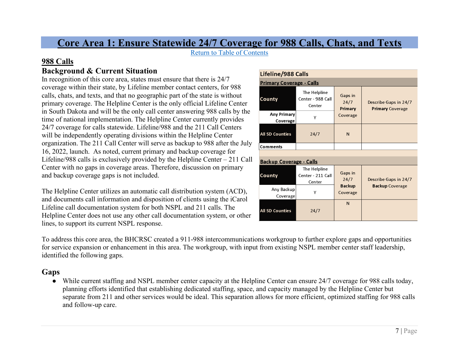# **Core Area 1: Ensure Statewide 24/7 Coverage for 988 Calls, Chats, and Texts**

Return to Table of Contents

# **988 Calls**

# **Background & Current Situation**

In recognition of this core area, states must ensure that there is 24/7 coverage within their state, by Lifeline member contact centers, for 988 calls, chats, and texts, and that no geographic part of the state is without primary coverage. The Helpline Center is the only official Lifeline Center in South Dakota and will be the only call center answering 988 calls by the time of national implementation. The Helpline Center currently provides 24/7 coverage for calls statewide. Lifeline/988 and the 211 Call Centers will be independently operating divisions within the Helpline Center organization. The 211 Call Center will serve as backup to 988 after the July 16, 2022, launch. As noted, current primary and backup coverage for Lifeline/988 calls is exclusively provided by the Helpline Center – 211 Call Center with no gaps in coverage areas. Therefore, discussion on primary and backup coverage gaps is not included.

<span id="page-7-0"></span>The Helpline Center utilizes an automatic call distribution system (ACD), and documents call information and disposition of clients using the iCarol Lifeline call documentation system for both NSPL and 211 calls. The Helpline Center does not use any other call documentation system, or other lines, to support its current NSPL response.

| Lifeline/988 Calls               |                                             |                            |                                                  |  |  |
|----------------------------------|---------------------------------------------|----------------------------|--------------------------------------------------|--|--|
| <u> Primary Coverage - Calls</u> |                                             |                            |                                                  |  |  |
| County                           | The Helpline<br>Center - 988 Call<br>Center | Gaps in<br>24/7<br>Primary | Describe Gaps in 24/7<br><b>Primary Coverage</b> |  |  |
| <b>Any Primary</b><br>Coverage   | γ                                           | Coverage                   |                                                  |  |  |
| All SD Counties                  | 24/7                                        | N                          |                                                  |  |  |
| Comments                         |                                             |                            |                                                  |  |  |
|                                  |                                             |                            |                                                  |  |  |
| <u> Backup Coverage - Calls</u>  |                                             |                            |                                                  |  |  |
| County                           | The Helpline<br>Center - 211 Call<br>Center | Gaps in<br>24/7            | Describe Gaps in 24/7                            |  |  |
| Any Backup<br>Coverage           | Υ                                           | <b>Backup</b><br>Coverage  | <b>Backup Coverage</b>                           |  |  |
| <b>All SD Counties</b>           | 24/7                                        | N                          |                                                  |  |  |

To address this core area, the BHCRSC created a 911-988 intercommunications workgroup to further explore gaps and opportunities for service expansion or enhancement in this area. The workgroup, with input from existing NSPL member center staff leadership, identified the following gaps.

# **Gaps**

● While current staffing and NSPL member center capacity at the Helpline Center can ensure 24/7 coverage for 988 calls today, planning efforts identified that establishing dedicated staffing, space, and capacity managed by the Helpline Center but separate from 211 and other services would be ideal. This separation allows for more efficient, optimized staffing for 988 calls and follow-up care.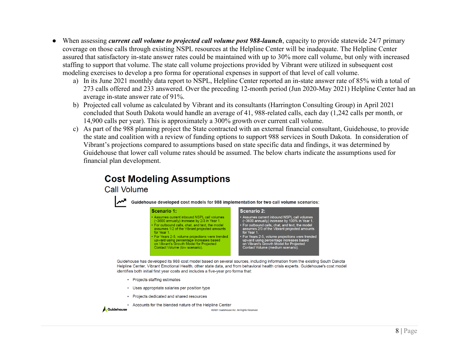- When assessing *current call volume to projected call volume post 988-launch*, capacity to provide statewide 24/7 primary coverage on those calls through existing NSPL resources at the Helpline Center will be inadequate. The Helpline Center assured that satisfactory in-state answer rates could be maintained with up to 30% more call volume, but only with increased staffing to support that volume. The state call volume projections provided by Vibrant were utilized in subsequent cost modeling exercises to develop a pro forma for operational expenses in support of that level of call volume.
	- a) In its June 2021 monthly data report to NSPL, Helpline Center reported an in-state answer rate of 85% with a total of 273 calls offered and 233 answered. Over the preceding 12-month period (Jun 2020-May 2021) Helpline Center had an average in-state answer rate of 91%.
	- b) Projected call volume as calculated by Vibrant and its consultants (Harrington Consulting Group) in April 2021 concluded that South Dakota would handle an average of 41, 988-related calls, each day (1,242 calls per month, or 14,900 calls per year). This is approximately a 300% growth over current call volume.
	- c) As part of the 988 planning project the State contracted with an external financial consultant, Guidehouse, to provide the state and coalition with a review of funding options to support 988 services in South Dakota. In consideration of Vibrant's projections compared to assumptions based on state specific data and findings, it was determined by Guidehouse that lower call volume rates should be assumed. The below charts indicate the assumptions used for financial plan development.

# **Cost Modeling Assumptions**

for Year 1.

Call Volume



or Years 2-5, volume projections were trended<br>upward using percentage increases based<br>on Vibrant's Growth Model for Projected<br>Contact Volume (medium scenario). For Years 2-5, volume projections were trended upward using percentage increases based<br>on Vibrant's Growth Model for Projected Contact Volume (low scenario).

Guidehouse has developed its 988 cost model based on several sources, including information from the existing South Dakota Helpline Center, Vibrant Emotional Health, other state data, and from behavioral health crisis experts. Guidehouse's cost model identifies both initial first year costs and includes a five-year pro forma that:

- Projects staffing estimates
- Uses appropriate salaries per position type
- Projects dedicated and shared resources
- Accounts for the blended nature of the Helpline Center

```
Guidehouse
```
@2021 Guidehouse Inc. All Rights Reserved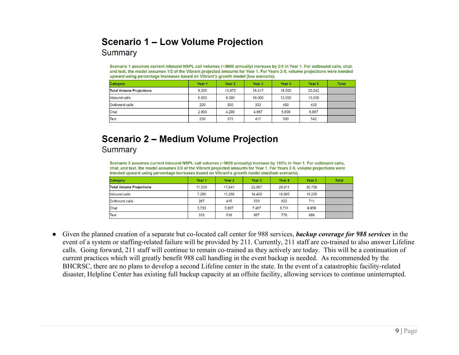# **Scenario 1 – Low Volume Projection**

Summary

Scenario 1 assumes current inbound NSPL call volumes (~3600 annually) increase by 2/3 in Year 1. For outbound calls, chat, and text, the model assumes 1/2 of the Vibrant projected amounts for Year 1. For Years 2-5, volume projections were trended upward using percentage increases based on Vibrant's growth model (low scenario).

| Category                        | Year 1 | Year 2 | Year 3 | Year 4 | Year 5 | <b>Total</b> |
|---------------------------------|--------|--------|--------|--------|--------|--------------|
| <b>Total Volume Projections</b> | 9.250  | 13,875 | 15.417 | 18,500 | 20,042 |              |
| Inbound calls                   | 6,000  | 9.000  | 10,000 | 12,000 | 13,000 |              |
| Outbound calls                  | 200    | 300    | 333    | 400    | 433    |              |
| Chat                            | 2,800  | 4.200  | 4.667  | 5,600  | 6.067  |              |
| Text                            | 250    | 375    | 417    | 500    | 542    |              |

# **Scenario 2 - Medium Volume Projection** Summary

Scenario 2 assumes current inbound NSPL call volumes (~3600 annually) increase by 100% in Year 1. For outbound calls, chat, and text, the model assumes 2/3 of the Vibrant projected amounts for Year 1. For Years 2-5, volume projections were trended upward using percentage increases based on Vibrant's growth model (medium scenario).

| <b>Category</b>                 | Year 1 | Year 2 | Year 3 | Year 4 | Year <sub>5</sub> | <b>Total</b> |
|---------------------------------|--------|--------|--------|--------|-------------------|--------------|
| <b>Total Volume Projections</b> | 11.533 | 17.941 | 23,067 | 26.911 | 30.756            |              |
| Inbound calls                   | 7.200  | 11.200 | 14,400 | 16,800 | 19,200            |              |
| <b>Outbound calls</b>           | 267    | 415    | 533    | 622    | 711               |              |
| Chat                            | 3.733  | 5.807  | 7.467  | 8.711  | 9.956             |              |
| Text                            | 333    | 519    | 667    | 778    | 889               |              |

● Given the planned creation of a separate but co-located call center for 988 services, *backup coverage for 988 services* in the event of a system or staffing-related failure will be provided by 211. Currently, 211 staff are co-trained to also answer Lifeline calls. Going forward, 211 staff will continue to remain co-trained as they actively are today. This will be a continuation of current practices which will greatly benefit 988 call handling in the event backup is needed. As recommended by the BHCRSC, there are no plans to develop a second Lifeline center in the state. In the event of a catastrophic facility-related disaster, Helpline Center has existing full backup capacity at an offsite facility, allowing services to continue uninterrupted.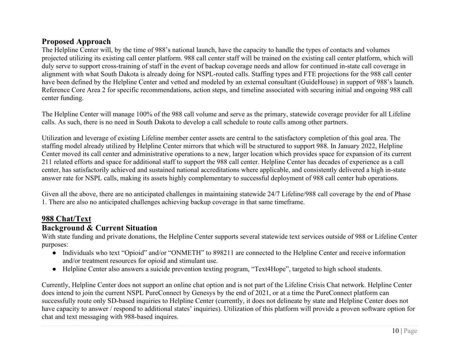# **Proposed Approach**

The Helpline Center will, by the time of 988's national launch, have the capacity to handle the types of contacts and volumes projected utilizing its existing call center platform. 988 call center staff will be trained on the existing call center platform, which will duly serve to support cross-training of staff in the event of backup coverage needs and allow for continued in-state call coverage in alignment with what South Dakota is already doing for NSPL-routed calls. Staffing types and FTE projections for the 988 call center have been defined by the Helpline Center and vetted and modeled by an external consultant (GuideHouse) in support of 988's launch. Reference Core Area 2 for specific recommendations, action steps, and timeline associated with securing initial and ongoing 988 call center funding.

The Helpline Center will manage 100% of the 988 call volume and serve as the primary, statewide coverage provider for all Lifeline calls. As such, there is no need in South Dakota to develop a call schedule to route calls among other partners.

Utilization and leverage of existing Lifeline member center assets are central to the satisfactory completion of this goal area. The staffing model already utilized by Helpline Center mirrors that which will be structured to support 988. In January 2022, Helpline Center moved its call center and administrative operations to a new, larger location which provides space for expansion of its current 211 related efforts and space for additional staff to support the 988 call center. Helpline Center has decades of experience as a call center, has satisfactorily achieved and sustained national accreditations where applicable, and consistently delivered a high in-state answer rate for NSPL calls, making its assets highly complementary to successful deployment of 988 call center hub operations.

Given all the above, there are no anticipated challenges in maintaining statewide 24/7 Lifeline/988 call coverage by the end of Phase 1. There are also no anticipated challenges achieving backup coverage in that same timeframe.

# **988 Chat/Text**

## **Background & Current Situation**

With state funding and private donations, the Helpline Center supports several statewide text services outside of 988 or Lifeline Center purposes:

- Individuals who text "Opioid" and/or "ONMETH" to 898211 are connected to the Helpline Center and receive information and/or treatment resources for opioid and stimulant use.
- Helpline Center also answers a suicide prevention texting program, "Text4Hope", targeted to high school students.

Currently, Helpline Center does not support an online chat option and is not part of the Lifeline Crisis Chat network. Helpline Center does intend to join the current NSPL PureConnect by Genesys by the end of 2021, or at a time the PureConnect platform can successfully route only SD-based inquiries to Helpline Center (currently, it does not delineate by state and Helpline Center does not have capacity to answer / respond to additional states' inquiries). Utilization of this platform will provide a proven software option for chat and text messaging with 988-based inquires.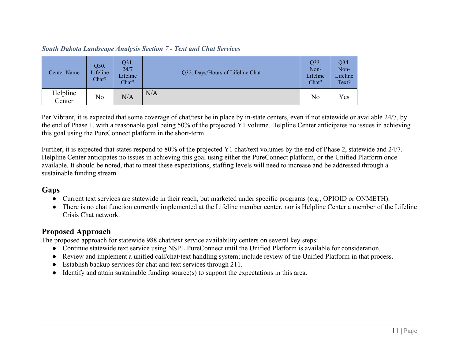### *South Dakota Landscape Analysis Section 7 - Text and Chat Services*

| <b>Center Name</b> | Q30.<br>Lifeline<br>Chat? | Q31.<br>24/7<br>Lifeline<br>Chat? | Q32. Days/Hours of Lifeline Chat | Q33.<br>Non-<br>Lifeline<br>Chat? | Q34.<br>Non-<br>Lifeline<br>Text? |
|--------------------|---------------------------|-----------------------------------|----------------------------------|-----------------------------------|-----------------------------------|
| Helpline<br>Center | No                        | N/A                               | N/A                              | No                                | Yes                               |

Per Vibrant, it is expected that some coverage of chat/text be in place by in-state centers, even if not statewide or available 24/7, by the end of Phase 1, with a reasonable goal being 50% of the projected Y1 volume. Helpline Center anticipates no issues in achieving this goal using the PureConnect platform in the short-term.

Further, it is expected that states respond to 80% of the projected Y1 chat/text volumes by the end of Phase 2, statewide and 24/7. Helpline Center anticipates no issues in achieving this goal using either the PureConnect platform, or the Unified Platform once available. It should be noted, that to meet these expectations, staffing levels will need to increase and be addressed through a sustainable funding stream.

# **Gaps**

- Current text services are statewide in their reach, but marketed under specific programs (e.g., OPIOID or ONMETH).
- There is no chat function currently implemented at the Lifeline member center, nor is Helpline Center a member of the Lifeline Crisis Chat network.

# **Proposed Approach**

The proposed approach for statewide 988 chat/text service availability centers on several key steps:

- Continue statewide text service using NSPL PureConnect until the Unified Platform is available for consideration.
- Review and implement a unified call/chat/text handling system; include review of the Unified Platform in that process.
- Establish backup services for chat and text services through 211.
- Identify and attain sustainable funding source(s) to support the expectations in this area.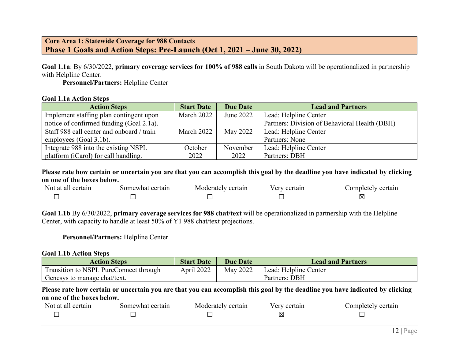### **Core Area 1: Statewide Coverage for 988 Contacts Phase 1 Goals and Action Steps: Pre-Launch (Oct 1, 2021 – June 30, 2022)**

**Goal 1.1a**: By 6/30/2022, **primary coverage services for 100% of 988 calls** in South Dakota will be operationalized in partnership with Helpline Center.

**Personnel/Partners:** Helpline Center

#### **Goal 1.1a Action Steps**

| <b>Action Steps</b>                       | <b>Start Date</b> | <b>Due Date</b> | <b>Lead and Partners</b>                      |
|-------------------------------------------|-------------------|-----------------|-----------------------------------------------|
| Implement staffing plan contingent upon   | March 2022        | June 2022       | Lead: Helpline Center                         |
| notice of confirmed funding (Goal 2.1a).  |                   |                 | Partners: Division of Behavioral Health (DBH) |
| Staff 988 call center and onboard / train | March 2022        | May 2022        | Lead: Helpline Center                         |
| employees (Goal 3.1b).                    |                   |                 | Partners: None                                |
| Integrate 988 into the existing NSPL      | October           | November        | Lead: Helpline Center                         |
| platform (iCarol) for call handling.      | 2022              | 2022            | Partners: DBH                                 |

**Please rate how certain or uncertain you are that you can accomplish this goal by the deadline you have indicated by clicking on one of the boxes below.**

| Not at all certain | Somewhat certain | Moderately certain | Verv certain | Completely certain |
|--------------------|------------------|--------------------|--------------|--------------------|
|                    |                  |                    |              |                    |

**Goal 1.1b** By 6/30/2022, **primary coverage services for 988 chat/text** will be operationalized in partnership with the Helpline Center, with capacity to handle at least 50% of Y1 988 chat/text projections.

#### **Personnel/Partners:** Helpline Center

#### **Goal 1.1b Action Steps**

| <b>Action Steps</b>                    | <b>Start Date</b> | <b>Due Date</b> | <b>Lead and Partners</b> |
|----------------------------------------|-------------------|-----------------|--------------------------|
| Transition to NSPL PureConnect through | April 2022        | May 2022        | Lead: Helpline Center    |
| Genesys to manage chat/text.           |                   |                 | Partners: DBH            |

| Not at all certain | Somewhat certain | Moderately certain | Very certain | Completely certain |
|--------------------|------------------|--------------------|--------------|--------------------|
|                    |                  |                    | IХ           |                    |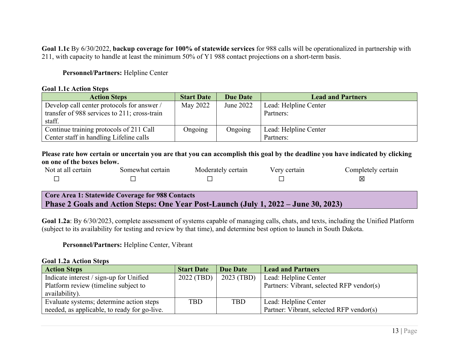**Goal 1.1c** By 6/30/2022, **backup coverage for 100% of statewide services** for 988 calls will be operationalized in partnership with 211, with capacity to handle at least the minimum 50% of Y1 988 contact projections on a short-term basis.

#### **Personnel/Partners:** Helpline Center

#### **Goal 1.1c Action Steps**

| <b>Action Steps</b>                          | <b>Start Date</b> | <b>Due Date</b> | <b>Lead and Partners</b> |
|----------------------------------------------|-------------------|-----------------|--------------------------|
| Develop call center protocols for answer /   | May 2022          | June 2022       | Lead: Helpline Center    |
| transfer of 988 services to 211; cross-train |                   |                 | Partners:                |
| staff.                                       |                   |                 |                          |
| Continue training protocols of 211 Call      | Ongoing           | Ongoing         | Lead: Helpline Center    |
| Center staff in handling Lifeline calls      |                   |                 | Partners:                |

### **Please rate how certain or uncertain you are that you can accomplish this goal by the deadline you have indicated by clicking on one of the boxes below.**

| Not at all certain | Somewhat certain | Moderately certain | Very certain | Completely certain |
|--------------------|------------------|--------------------|--------------|--------------------|
|                    |                  |                    |              | ⊠                  |

### **Core Area 1: Statewide Coverage for 988 Contacts Phase 2 Goals and Action Steps: One Year Post-Launch (July 1, 2022 – June 30, 2023)**

**Goal 1.2a**: By 6/30/2023, complete assessment of systems capable of managing calls, chats, and texts, including the Unified Platform (subject to its availability for testing and review by that time), and determine best option to launch in South Dakota.

#### **Personnel/Partners:** Helpline Center, Vibrant

#### **Goal 1.2a Action Steps**

| <b>Action Steps</b>                          | <b>Start Date</b> | Due Date     | <b>Lead and Partners</b>                  |
|----------------------------------------------|-------------------|--------------|-------------------------------------------|
| Indicate interest / sign-up for Unified      | 2022 (TBD)        | $2023$ (TBD) | Lead: Helpline Center                     |
| Platform review (timeline subject to         |                   |              | Partners: Vibrant, selected RFP vendor(s) |
| availability).                               |                   |              |                                           |
| Evaluate systems; determine action steps     | <b>TBD</b>        | <b>TBD</b>   | Lead: Helpline Center                     |
| needed, as applicable, to ready for go-live. |                   |              | Partner: Vibrant, selected RFP vendor(s)  |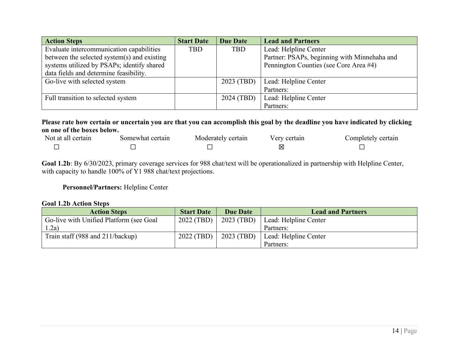| <b>Action Steps</b>                         | <b>Start Date</b> | <b>Due Date</b> | <b>Lead and Partners</b>                     |
|---------------------------------------------|-------------------|-----------------|----------------------------------------------|
| Evaluate intercommunication capabilities    | <b>TBD</b>        | <b>TBD</b>      | Lead: Helpline Center                        |
| between the selected system(s) and existing |                   |                 | Partner: PSAPs, beginning with Minnehaha and |
| systems utilized by PSAPs; identify shared  |                   |                 | Pennington Counties (see Core Area #4)       |
| data fields and determine feasibility.      |                   |                 |                                              |
| Go-live with selected system                |                   | 2023 (TBD)      | Lead: Helpline Center                        |
|                                             |                   |                 | Partners:                                    |
| Full transition to selected system          |                   | 2024 (TBD)      | Lead: Helpline Center                        |
|                                             |                   |                 | Partners:                                    |

**Please rate how certain or uncertain you are that you can accomplish this goal by the deadline you have indicated by clicking on one of the boxes below.**

| Not at all certain | Somewhat certain | Moderately certain | Very certain | Completely certain |
|--------------------|------------------|--------------------|--------------|--------------------|
|                    |                  |                    |              |                    |

**Goal 1.2b**: By 6/30/2023, primary coverage services for 988 chat/text will be operationalized in partnership with Helpline Center, with capacity to handle 100% of Y1 988 chat/text projections.

### **Personnel/Partners:** Helpline Center

#### **Goal 1.2b Action Steps**

| <b>Action Steps</b>                     | <b>Start Date</b> | <b>Due Date</b> | <b>Lead and Partners</b> |
|-----------------------------------------|-------------------|-----------------|--------------------------|
| Go-live with Unified Platform (see Goal | 2022 (TBD)        | 2023 (TBD)      | Lead: Helpline Center    |
| .2a)                                    |                   |                 | Partners:                |
| Train staff (988 and $211/backup$ )     | 2022 (TBD)        | 2023 (TBD)      | Lead: Helpline Center    |
|                                         |                   |                 | Partners:                |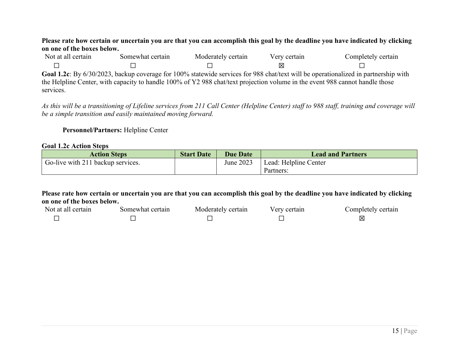#### **Please rate how certain or uncertain you are that you can accomplish this goal by the deadline you have indicated by clicking on one of the boxes below.**

| Not at all certain | Somewhat certain                                                                                                             | Moderately certain | Very certain | Completely certain                                                                                                                 |
|--------------------|------------------------------------------------------------------------------------------------------------------------------|--------------------|--------------|------------------------------------------------------------------------------------------------------------------------------------|
|                    |                                                                                                                              |                    | ΙXΙ          |                                                                                                                                    |
|                    |                                                                                                                              |                    |              | Goal 1.2c: By 6/30/2023, backup coverage for 100% statewide services for 988 chat/text will be operationalized in partnership with |
|                    | the Helpline Center, with capacity to handle 100% of Y2 988 chat/text projection volume in the event 988 cannot handle those |                    |              |                                                                                                                                    |
| services.          |                                                                                                                              |                    |              |                                                                                                                                    |

*As this will be a transitioning of Lifeline services from 211 Call Center (Helpline Center) staff to 988 staff, training and coverage will be a simple transition and easily maintained moving forward.*

**Personnel/Partners:** Helpline Center

#### **Goal 1.2c Action Steps**

| <b>Action Steps</b>               | <b>Start Date</b> | <b>Due Date</b> | <b>Lead and Partners</b> |
|-----------------------------------|-------------------|-----------------|--------------------------|
| Go-live with 211 backup services. |                   | June 2023       | Lead: Helpline Center    |
|                                   |                   |                 | Partners:                |

| Not at all certain | Somewhat certain | Moderately certain | Very certain | Completely certain |
|--------------------|------------------|--------------------|--------------|--------------------|
|                    |                  |                    |              |                    |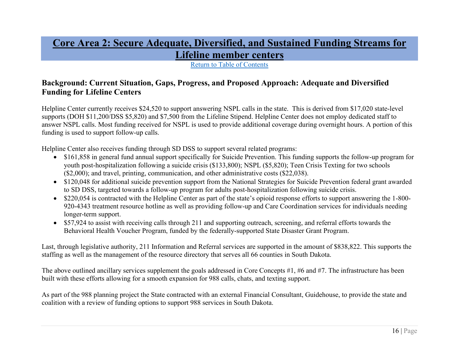# **Core Area 2: Secure Adequate, Diversified, and Sustained Funding Streams for Lifeline member centers**

Return to Table of Contents

# **Background: Current Situation, Gaps, Progress, and Proposed Approach: Adequate and Diversified Funding for Lifeline Centers**

Helpline Center currently receives \$24,520 to support answering NSPL calls in the state. This is derived from \$17,020 state-level supports (DOH \$11,200/DSS \$5,820) and \$7,500 from the Lifeline Stipend. Helpline Center does not employ dedicated staff to answer NSPL calls. Most funding received for NSPL is used to provide additional coverage during overnight hours. A portion of this funding is used to support follow-up calls.

Helpline Center also receives funding through SD DSS to support several related programs:

- \$161,858 in general fund annual support specifically for Suicide Prevention. This funding supports the follow-up program for youth post-hospitalization following a suicide crisis (\$133,800); NSPL (\$5,820); Teen Crisis Texting for two schools (\$2,000); and travel, printing, communication, and other administrative costs (\$22,038).
- \$120,048 for additional suicide prevention support from the National Strategies for Suicide Prevention federal grant awarded to SD DSS, targeted towards a follow-up program for adults post-hospitalization following suicide crisis.
- \$220,054 is contracted with the Helpline Center as part of the state's opioid response efforts to support answering the 1-800-920-4343 treatment resource hotline as well as providing follow-up and Care Coordination services for individuals needing longer-term support.
- \$57,924 to assist with receiving calls through 211 and supporting outreach, screening, and referral efforts towards the Behavioral Health Voucher Program, funded by the federally-supported State Disaster Grant Program.

Last, through legislative authority, 211 Information and Referral services are supported in the amount of \$838,822. This supports the staffing as well as the management of the resource directory that serves all 66 counties in South Dakota.

The above outlined ancillary services supplement the goals addressed in Core Concepts #1, #6 and #7. The infrastructure has been built with these efforts allowing for a smooth expansion for 988 calls, chats, and texting support.

As part of the 988 planning project the State contracted with an external Financial Consultant, Guidehouse, to provide the state and coalition with a review of funding options to support 988 services in South Dakota.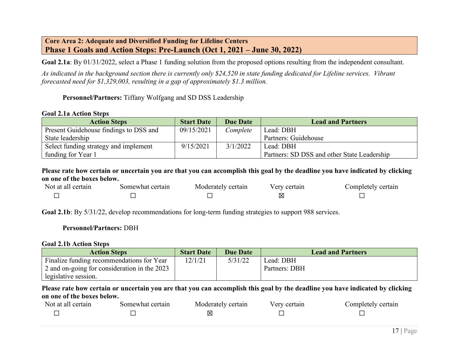### **Core Area 2: Adequate and Diversified Funding for Lifeline Centers Phase 1 Goals and Action Steps: Pre-Launch (Oct 1, 2021 – June 30, 2022)**

**Goal 2.1a**: By 01/31/2022, select a Phase 1 funding solution from the proposed options resulting from the independent consultant.

*As indicated in the background section there is currently only \$24,520 in state funding dedicated for Lifeline services. Vibrant forecasted need for \$1,329,003, resulting in a gap of approximately \$1.3 million.* 

### **Personnel/Partners:** Tiffany Wolfgang and SD DSS Leadership

#### **Goal 2.1a Action Steps**

| <b>Action Steps</b>                    | <b>Start Date</b> | <b>Due Date</b> | <b>Lead and Partners</b>                    |
|----------------------------------------|-------------------|-----------------|---------------------------------------------|
| Present Guidehouse findings to DSS and | 09/15/2021        | Complete        | Lead: DBH                                   |
| State leadership                       |                   |                 | Partners: Guidehouse                        |
| Select funding strategy and implement  | 9/15/2021         | 3/1/2022        | Lead: DBH                                   |
| funding for Year 1                     |                   |                 | Partners: SD DSS and other State Leadership |

**Please rate how certain or uncertain you are that you can accomplish this goal by the deadline you have indicated by clicking on one of the boxes below.**

| Not at all certain | Somewhat certain | Moderately certain | Verv certain | Completely certain |
|--------------------|------------------|--------------------|--------------|--------------------|
|                    |                  |                    | ⊠            |                    |

Goal 2.1b: By 5/31/22, develop recommendations for long-term funding strategies to support 988 services.

#### **Personnel/Partners:** DBH

#### **Goal 2.1b Action Steps**

| <b>Action Steps</b>                          | <b>Start Date</b> | <b>Due Date</b> | <b>Lead and Partners</b> |
|----------------------------------------------|-------------------|-----------------|--------------------------|
| Finalize funding recommendations for Year    | 12/1/21           | 5/31/22         | Lead: DBH                |
| 2 and on-going for consideration in the 2023 |                   |                 | Partners: DBH            |
| legislative session.                         |                   |                 |                          |

| Not at all certain | Somewhat certain | Moderately certain | Very certain | Completely certain |
|--------------------|------------------|--------------------|--------------|--------------------|
|                    |                  |                    |              |                    |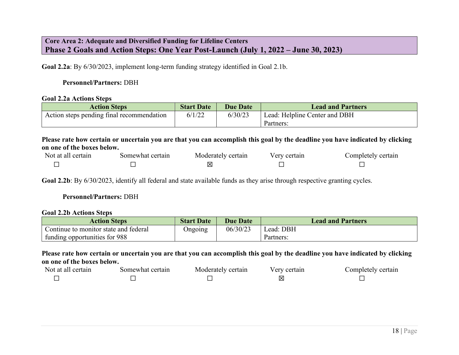## **Core Area 2: Adequate and Diversified Funding for Lifeline Centers Phase 2 Goals and Action Steps: One Year Post-Launch (July 1, 2022 – June 30, 2023)**

**Goal 2.2a**: By 6/30/2023, implement long-term funding strategy identified in Goal 2.1b.

#### **Personnel/Partners:** DBH

#### **Goal 2.2a Actions Steps**

| <b>Action Steps</b>                       | <b>Start Date</b> | <b>Due Date</b> | <b>Lead and Partners</b>      |
|-------------------------------------------|-------------------|-----------------|-------------------------------|
| Action steps pending final recommendation | 6/1/22            | 6/30/23         | Lead: Helpline Center and DBH |
|                                           |                   |                 | Partners:                     |

<span id="page-18-0"></span>**Please rate how certain or uncertain you are that you can accomplish this goal by the deadline you have indicated by clicking on one of the boxes below.**

| Not at all certain | Somewhat certain | Moderately certain | Very certain | Completely certain |
|--------------------|------------------|--------------------|--------------|--------------------|
|                    |                  |                    |              |                    |

**Goal 2.2b**: By 6/30/2023, identify all federal and state available funds as they arise through respective granting cycles.

#### **Personnel/Partners:** DBH

#### **Goal 2.2b Actions Steps**

| <b>Action Steps</b>                   | <b>Start Date</b> | <b>Due Date</b> | <b>Lead and Partners</b> |
|---------------------------------------|-------------------|-----------------|--------------------------|
| Continue to monitor state and federal | <b>Ongoing</b>    | 06/30/23        | Lead: DBH                |
| funding opportunities for 988         |                   |                 | Partners:                |

| Not at all certain | Somewhat certain | Moderately certain | Very certain | Completely certain |
|--------------------|------------------|--------------------|--------------|--------------------|
|                    |                  |                    | ⋉            |                    |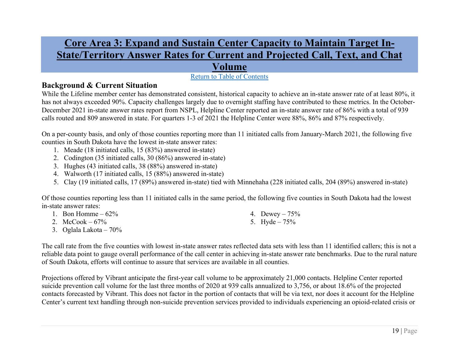# **Core Area 3: Expand and Sustain Center Capacity to Maintain Target In-State/Territory Answer Rates for Current and Projected Call, Text, and Chat**

# **Volume**

## Return to Table of Contents

## **Background & Current Situation**

While the Lifeline member center has demonstrated consistent, historical capacity to achieve an in-state answer rate of at least 80%, it has not always exceeded 90%. Capacity challenges largely due to overnight staffing have contributed to these metrics. In the October-December 2021 in-state answer rates report from NSPL, Helpline Center reported an in-state answer rate of 86% with a total of 939 calls routed and 809 answered in state. For quarters 1-3 of 2021 the Helpline Center were 88%, 86% and 87% respectively.

On a per-county basis, and only of those counties reporting more than 11 initiated calls from January-March 2021, the following five counties in South Dakota have the lowest in-state answer rates:

- 1. Meade (18 initiated calls, 15 (83%) answered in-state)
- 2. Codington (35 initiated calls, 30 (86%) answered in-state)
- 3. Hughes (43 initiated calls, 38 (88%) answered in-state)
- 4. Walworth (17 initiated calls, 15 (88%) answered in-state)
- 5. Clay (19 initiated calls, 17 (89%) answered in-state) tied with Minnehaha (228 initiated calls, 204 (89%) answered in-state)

Of those counties reporting less than 11 initiated calls in the same period, the following five counties in South Dakota had the lowest in-state answer rates:

- 1. Bon Homme  $-62\%$
- 2.  $McCook 67%$
- 3. Oglala Lakota 70%
- 4. Dewey 75%
- 5. Hyde 75%

The call rate from the five counties with lowest in-state answer rates reflected data sets with less than 11 identified callers; this is not a reliable data point to gauge overall performance of the call center in achieving in-state answer rate benchmarks. Due to the rural nature of South Dakota, efforts will continue to assure that services are available in all counties.

Projections offered by Vibrant anticipate the first-year call volume to be approximately 21,000 contacts. Helpline Center reported suicide prevention call volume for the last three months of 2020 at 939 calls annualized to 3,756, or about 18.6% of the projected contacts forecasted by Vibrant. This does not factor in the portion of contacts that will be via text, nor does it account for the Helpline Center's current text handling through non-suicide prevention services provided to individuals experiencing an opioid-related crisis or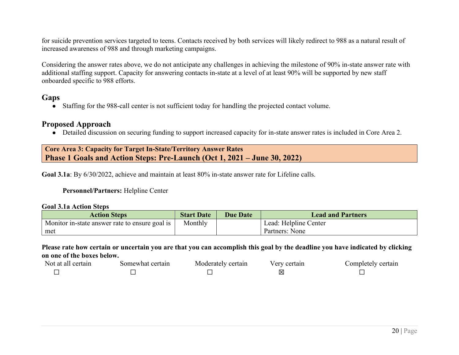for suicide prevention services targeted to teens. Contacts received by both services will likely redirect to 988 as a natural result of increased awareness of 988 and through marketing campaigns.

Considering the answer rates above, we do not anticipate any challenges in achieving the milestone of 90% in-state answer rate with additional staffing support. Capacity for answering contacts in-state at a level of at least 90% will be supported by new staff onboarded specific to 988 efforts.

### **Gaps**

● Staffing for the 988-call center is not sufficient today for handling the projected contact volume.

## **Proposed Approach**

● Detailed discussion on securing funding to support increased capacity for in-state answer rates is included in Core Area 2.

### **Core Area 3: Capacity for Target In-State/Territory Answer Rates Phase 1 Goals and Action Steps: Pre-Launch (Oct 1, 2021 – June 30, 2022)**

**Goal 3.1a**: By 6/30/2022, achieve and maintain at least 80% in-state answer rate for Lifeline calls.

### **Personnel/Partners:** Helpline Center

#### **Goal 3.1a Action Steps**

| <b>Action Steps</b>                              | <b>Start Date</b> | <b>Due Date</b> | <b>Lead and Partners</b> |
|--------------------------------------------------|-------------------|-----------------|--------------------------|
| Monitor in-state answer rate to ensure goal is 1 | Monthly           |                 | Lead: Helpline Center    |
| met                                              |                   |                 | Partners: None           |

| Not at all certain | Somewhat certain | Moderately certain | Verv certain | Completely certain |
|--------------------|------------------|--------------------|--------------|--------------------|
|                    |                  |                    | ⊠            |                    |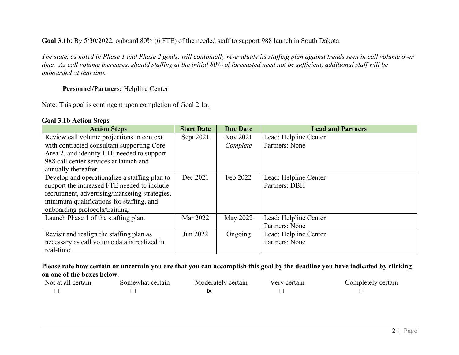### **Goal 3.1b**: By 5/30/2022, onboard 80% (6 FTE) of the needed staff to support 988 launch in South Dakota.

*The state, as noted in Phase 1 and Phase 2 goals, will continually re-evaluate its staffing plan against trends seen in call volume over time. As call volume increases, should staffing at the initial 80% of forecasted need not be sufficient, additional staff will be onboarded at that time.*

### **Personnel/Partners:** Helpline Center

### Note: This goal is contingent upon completion of Goal 2.1a.

#### **Goal 3.1b Action Steps**

| <b>Action Steps</b>                            | <b>Start Date</b> | <b>Due Date</b> | <b>Lead and Partners</b> |
|------------------------------------------------|-------------------|-----------------|--------------------------|
| Review call volume projections in context      | Sept 2021         | Nov 2021        | Lead: Helpline Center    |
| with contracted consultant supporting Core     |                   | Complete        | Partners: None           |
| Area 2, and identify FTE needed to support     |                   |                 |                          |
| 988 call center services at launch and         |                   |                 |                          |
| annually thereafter.                           |                   |                 |                          |
| Develop and operationalize a staffing plan to  | Dec 2021          | Feb 2022        | Lead: Helpline Center    |
| support the increased FTE needed to include    |                   |                 | Partners: DBH            |
| recruitment, advertising/marketing strategies, |                   |                 |                          |
| minimum qualifications for staffing, and       |                   |                 |                          |
| onboarding protocols/training.                 |                   |                 |                          |
| Launch Phase 1 of the staffing plan.           | Mar 2022          | May 2022        | Lead: Helpline Center    |
|                                                |                   |                 | Partners: None           |
| Revisit and realign the staffing plan as       | Jun 2022          | Ongoing         | Lead: Helpline Center    |
| necessary as call volume data is realized in   |                   |                 | Partners: None           |
| real-time.                                     |                   |                 |                          |

| Not at all certain | Somewhat certain | Moderately certain | Verv certain | Completely certain |
|--------------------|------------------|--------------------|--------------|--------------------|
|                    |                  | ⊠                  |              |                    |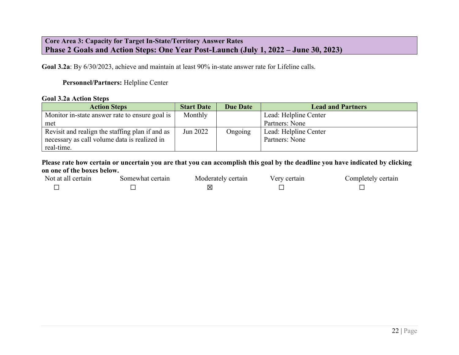## **Core Area 3: Capacity for Target In-State/Territory Answer Rates Phase 2 Goals and Action Steps: One Year Post-Launch (July 1, 2022 – June 30, 2023)**

**Goal 3.2a**: By 6/30/2023, achieve and maintain at least 90% in-state answer rate for Lifeline calls.

### **Personnel/Partners:** Helpline Center

#### **Goal 3.2a Action Steps**

| <b>Action Steps</b>                             | <b>Start Date</b> | <b>Due Date</b> | <b>Lead and Partners</b> |
|-------------------------------------------------|-------------------|-----------------|--------------------------|
| Monitor in-state answer rate to ensure goal is  | Monthly           |                 | Lead: Helpline Center    |
| met                                             |                   |                 | Partners: None           |
| Revisit and realign the staffing plan if and as | Jun 2022          | Ongoing         | Lead: Helpline Center    |
| necessary as call volume data is realized in    |                   |                 | Partners: None           |
| real-time.                                      |                   |                 |                          |

| Not at all certain | Somewhat certain | Moderately certain | erv certain/ | Completely certain |
|--------------------|------------------|--------------------|--------------|--------------------|
|                    |                  |                    |              |                    |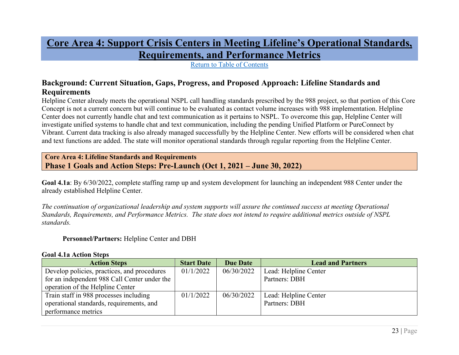**Core Area 4: Support Crisis Centers in Meeting Lifeline's Operational Standards, Requirements, and Performance Metrics**

Return to Table of Contents

# **Background: Current Situation, Gaps, Progress, and Proposed Approach: Lifeline Standards and Requirements**

Helpline Center already meets the operational NSPL call handling standards prescribed by the 988 project, so that portion of this Core Concept is not a current concern but will continue to be evaluated as contact volume increases with 988 implementation. Helpline Center does not currently handle chat and text communication as it pertains to NSPL. To overcome this gap, Helpline Center will investigate unified systems to handle chat and text communication, including the pending Unified Platform or PureConnect by Vibrant. Current data tracking is also already managed successfully by the Helpline Center. New efforts will be considered when chat and text functions are added. The state will monitor operational standards through regular reporting from the Helpline Center.

**Core Area 4: Lifeline Standards and Requirements Phase 1 Goals and Action Steps: Pre-Launch (Oct 1, 2021 – June 30, 2022)**

**Goal 4.1a**: By 6/30/2022, complete staffing ramp up and system development for launching an independent 988 Center under the already established Helpline Center.

*The continuation of organizational leadership and system supports will assure the continued success at meeting Operational Standards, Requirements, and Performance Metrics. The state does not intend to require additional metrics outside of NSPL standards.*

**Personnel/Partners:** Helpline Center and DBH

#### **Goal 4.1a Action Steps**

| <b>Action Steps</b>                          | <b>Start Date</b> | <b>Due Date</b> | <b>Lead and Partners</b> |
|----------------------------------------------|-------------------|-----------------|--------------------------|
| Develop policies, practices, and procedures  | 01/1/2022         | 06/30/2022      | Lead: Helpline Center    |
| for an independent 988 Call Center under the |                   |                 | Partners: DBH            |
| operation of the Helpline Center             |                   |                 |                          |
| Train staff in 988 processes including       | 01/1/2022         | 06/30/2022      | Lead: Helpline Center    |
| operational standards, requirements, and     |                   |                 | Partners: DBH            |
| performance metrics                          |                   |                 |                          |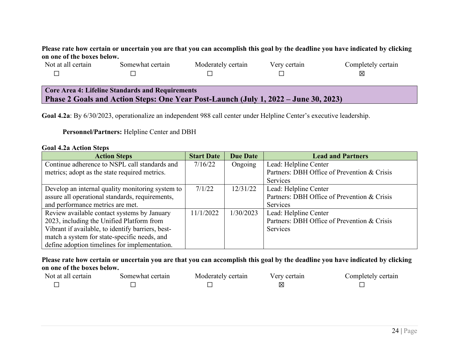### **Please rate how certain or uncertain you are that you can accomplish this goal by the deadline you have indicated by clicking on one of the boxes below.**

| Not at all certain                                                                  | Somewhat certain | Moderately certain | Very certain | Completely certain |  |  |
|-------------------------------------------------------------------------------------|------------------|--------------------|--------------|--------------------|--|--|
|                                                                                     |                  |                    |              |                    |  |  |
|                                                                                     |                  |                    |              |                    |  |  |
| Core Area 4: Lifeline Standards and Requirements                                    |                  |                    |              |                    |  |  |
| Phase 2 Goals and Action Steps: One Year Post-Launch (July 1, 2022 – June 30, 2023) |                  |                    |              |                    |  |  |

**Goal 4.2a**: By 6/30/2023, operationalize an independent 988 call center under Helpline Center's executive leadership.

#### **Personnel/Partners:** Helpline Center and DBH

#### **Goal 4.2a Action Steps**

| <b>Action Steps</b>                               | <b>Start Date</b> | <b>Due Date</b> | <b>Lead and Partners</b>                    |
|---------------------------------------------------|-------------------|-----------------|---------------------------------------------|
| Continue adherence to NSPL call standards and     | 7/16/22           | Ongoing         | Lead: Helpline Center                       |
| metrics; adopt as the state required metrics.     |                   |                 | Partners: DBH Office of Prevention & Crisis |
|                                                   |                   |                 | Services                                    |
| Develop an internal quality monitoring system to  | 7/1/22            | 12/31/22        | Lead: Helpline Center                       |
| assure all operational standards, requirements,   |                   |                 | Partners: DBH Office of Prevention & Crisis |
| and performance metrics are met.                  |                   |                 | Services                                    |
| Review available contact systems by January       | 11/1/2022         | 1/30/2023       | Lead: Helpline Center                       |
| 2023, including the Unified Platform from         |                   |                 | Partners: DBH Office of Prevention & Crisis |
| Vibrant if available, to identify barriers, best- |                   |                 | Services                                    |
| match a system for state-specific needs, and      |                   |                 |                                             |
| define adoption timelines for implementation.     |                   |                 |                                             |

<span id="page-24-0"></span>

| Not at all certain | Somewhat certain | Moderately certain | Verv certain | Completely certain |
|--------------------|------------------|--------------------|--------------|--------------------|
|                    |                  |                    | IХ           |                    |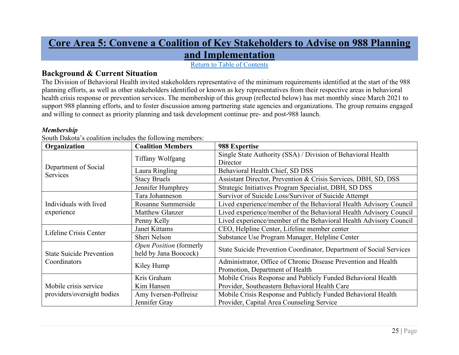# **Core Area 5: Convene a Coalition of Key Stakeholders to Advise on 988 Planning and Implementation**

Return to Table of Contents

# **Background & Current Situation**

The Division of Behavioral Health invited stakeholders representative of the minimum requirements identified at the start of the 988 planning efforts, as well as other stakeholders identified or known as key representatives from their respective areas in behavioral health crisis response or prevention services. The membership of this group (reflected below) has met monthly since March 2021 to support 988 planning efforts, and to foster discussion among partnering state agencies and organizations. The group remains engaged and willing to connect as priority planning and task development continue pre- and post-988 launch.

#### *Membership*

| Organization                     | <b>Coalition Members</b>                         | 988 Expertise                                                       |
|----------------------------------|--------------------------------------------------|---------------------------------------------------------------------|
|                                  | Tiffany Wolfgang                                 | Single State Authority (SSA) / Division of Behavioral Health        |
|                                  |                                                  | Director                                                            |
| Department of Social<br>Services | Laura Ringling                                   | Behavioral Health Chief, SD DSS                                     |
|                                  | <b>Stacy Bruels</b>                              | Assistant Director, Prevention & Crisis Services, DBH, SD, DSS      |
|                                  | Jennifer Humphrey                                | Strategic Initiatives Program Specialist, DBH, SD DSS               |
|                                  | Tara Johanneson                                  | Survivor of Suicide Loss/Survivor of Suicide Attempt                |
| Individuals with lived           | Rosanne Summerside                               | Lived experience/member of the Behavioral Health Advisory Council   |
| experience                       | <b>Matthew Glanzer</b>                           | Lived experience/member of the Behavioral Health Advisory Council   |
|                                  | Penny Kelly                                      | Lived experience/member of the Behavioral Health Advisory Council   |
| Lifeline Crisis Center           | Janet Kittams                                    | CEO, Helpline Center, Lifeline member center                        |
|                                  | Sheri Nelson                                     | Substance Use Program Manager, Helpline Center                      |
| <b>State Suicide Prevention</b>  | Open Position (formerly<br>held by Jana Boocock) | State Suicide Prevention Coordinator, Department of Social Services |
| Coordinators                     |                                                  | Administrator, Office of Chronic Disease Prevention and Health      |
|                                  | Kiley Hump                                       | Promotion, Department of Health                                     |
|                                  | Kris Graham                                      | Mobile Crisis Response and Publicly Funded Behavioral Health        |
| Mobile crisis service            | Kim Hansen                                       | Provider, Southeastern Behavioral Health Care                       |
| providers/oversight bodies       | Amy Iversen-Pollreisz                            | Mobile Crisis Response and Publicly Funded Behavioral Health        |
|                                  | Jennifer Gray                                    | Provider, Capital Area Counseling Service                           |

South Dakota's coalition includes the following members: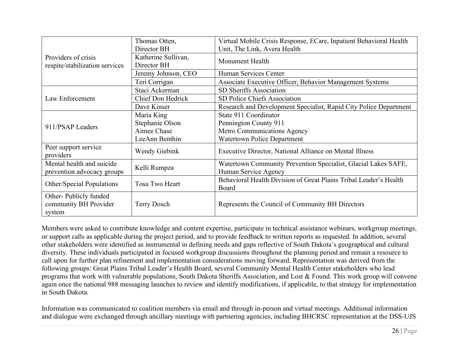|                                                         | Thomas Otten,        | Virtual Mobile Crisis Response, ECare, Inpatient Behavioral Health                     |
|---------------------------------------------------------|----------------------|----------------------------------------------------------------------------------------|
|                                                         | Director BH          | Unit, The Link, Avera Health                                                           |
| Providers of crisis                                     | Katherine Sullivan,  | Monument Health                                                                        |
| respite/stabilization services                          | Director BH          |                                                                                        |
|                                                         | Jeremy Johnson, CEO  | Human Services Center                                                                  |
|                                                         | Teri Corrigan        | Associate Executive Officer, Behavior Management Systems                               |
|                                                         | Staci Ackerman       | SD Sheriffs Association                                                                |
| Law Enforcement                                         | Chief Don Hedrick    | SD Police Chiefs Association                                                           |
|                                                         | Dave Kinser          | Research and Development Specialist, Rapid City Police Department                      |
|                                                         | Maria King           | State 911 Coordinator                                                                  |
| 911/PSAP Leaders                                        | Stephanie Olson      | Pennington County 911                                                                  |
|                                                         | Aimee Chase          | Metro Communications Agency                                                            |
|                                                         | LeeAnn Benthin       | <b>Watertown Police Department</b>                                                     |
| Peer support service<br>providers                       | <b>Wendy Giebink</b> | Executive Director, National Alliance on Mental Illness                                |
| Mental health and suicide<br>prevention advocacy groups | Kelli Rumpza         | Watertown Community Prevention Specialist, Glacial Lakes SAFE,<br>Human Service Agency |
|                                                         |                      | Behavioral Health Division of Great Plains Tribal Leader's Health                      |
| Other/Special Populations                               | Tosa Two Heart       | Board                                                                                  |
| Other-Publicly funded                                   |                      |                                                                                        |
| community BH Provider                                   | Terry Dosch          | Represents the Council of Community BH Directors                                       |
| system                                                  |                      |                                                                                        |

Members were asked to contribute knowledge and content expertise, participate in technical assistance webinars, workgroup meetings, or support calls as applicable during the project period, and to provide feedback to written reports as requested. In addition, several other stakeholders were identified as instrumental in defining needs and gaps reflective of South Dakota's geographical and cultural diversity. These individuals participated in focused workgroup discussions throughout the planning period and remain a resource to call upon for further plan refinement and implementation considerations moving forward. Representation was derived from the following groups: Great Plains Tribal Leader's Health Board, several Community Mental Health Center stakeholders who lead programs that work with vulnerable populations, South Dakota Sheriffs Association, and Lost & Found. This work group will convene again once the national 988 messaging launches to review and identify modifications, if applicable, to that strategy for implementation in South Dakota.

Information was communicated to coalition members via email and through in-person and virtual meetings. Additional information and dialogue were exchanged through ancillary meetings with partnering agencies, including BHCRSC representation at the DSS-UJS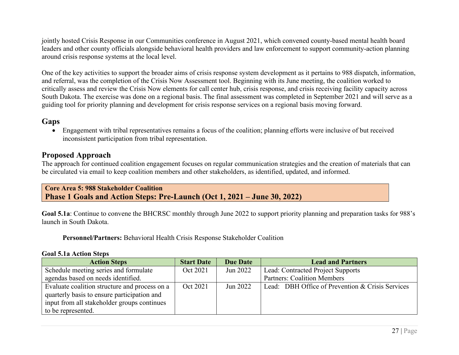jointly hosted Crisis Response in our Communities conference in August 2021, which convened county-based mental health board leaders and other county officials alongside behavioral health providers and law enforcement to support community-action planning around crisis response systems at the local level.

One of the key activities to support the broader aims of crisis response system development as it pertains to 988 dispatch, information, and referral, was the completion of the Crisis Now Assessment tool. Beginning with its June meeting, the coalition worked to critically assess and review the Crisis Now elements for call center hub, crisis response, and crisis receiving facility capacity across South Dakota. The exercise was done on a regional basis. The final assessment was completed in September 2021 and will serve as a guiding tool for priority planning and development for crisis response services on a regional basis moving forward.

# **Gaps**

• Engagement with tribal representatives remains a focus of the coalition; planning efforts were inclusive of but received inconsistent participation from tribal representation.

# **Proposed Approach**

The approach for continued coalition engagement focuses on regular communication strategies and the creation of materials that can be circulated via email to keep coalition members and other stakeholders, as identified, updated, and informed.

**Core Area 5: 988 Stakeholder Coalition Phase 1 Goals and Action Steps: Pre-Launch (Oct 1, 2021 – June 30, 2022)**

**Goal 5.1a**: Continue to convene the BHCRSC monthly through June 2022 to support priority planning and preparation tasks for 988's launch in South Dakota.

**Personnel/Partners:** Behavioral Health Crisis Response Stakeholder Coalition

#### **Goal 5.1a Action Steps**

| <b>Action Steps</b>                           | <b>Start Date</b> | <b>Due Date</b> | <b>Lead and Partners</b>                         |
|-----------------------------------------------|-------------------|-----------------|--------------------------------------------------|
| Schedule meeting series and formulate         | Oct 2021          | Jun 2022        | Lead: Contracted Project Supports                |
| agendas based on needs identified.            |                   |                 | <b>Partners: Coalition Members</b>               |
| Evaluate coalition structure and process on a | Oct 2021          | Jun 2022        | Lead: DBH Office of Prevention & Crisis Services |
| quarterly basis to ensure participation and   |                   |                 |                                                  |
| input from all stakeholder groups continues   |                   |                 |                                                  |
| to be represented.                            |                   |                 |                                                  |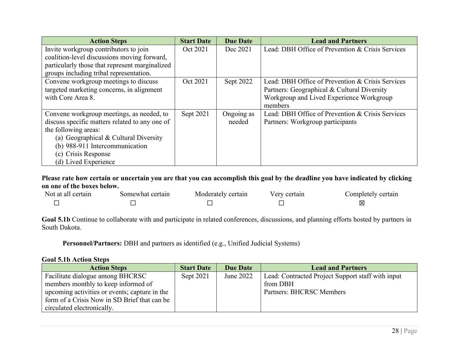| <b>Action Steps</b>                            | <b>Start Date</b> | <b>Due Date</b> | <b>Lead and Partners</b>                         |
|------------------------------------------------|-------------------|-----------------|--------------------------------------------------|
| Invite workgroup contributors to join          | Oct 2021          | Dec 2021        | Lead: DBH Office of Prevention & Crisis Services |
| coalition-level discussions moving forward,    |                   |                 |                                                  |
| particularly those that represent marginalized |                   |                 |                                                  |
| groups including tribal representation.        |                   |                 |                                                  |
| Convene workgroup meetings to discuss          | Oct 2021          | Sept 2022       | Lead: DBH Office of Prevention & Crisis Services |
| targeted marketing concerns, in alignment      |                   |                 | Partners: Geographical & Cultural Diversity      |
| with Core Area 8.                              |                   |                 | Workgroup and Lived Experience Workgroup         |
|                                                |                   |                 | members                                          |
| Convene workgroup meetings, as needed, to      | Sept 2021         | Ongoing as      | Lead: DBH Office of Prevention & Crisis Services |
| discuss specific matters related to any one of |                   | needed          | Partners: Workgroup participants                 |
| the following areas:                           |                   |                 |                                                  |
| (a) Geographical & Cultural Diversity          |                   |                 |                                                  |
| (b) 988-911 Intercommunication                 |                   |                 |                                                  |
| (c) Crisis Response                            |                   |                 |                                                  |
| (d) Lived Experience                           |                   |                 |                                                  |

**Please rate how certain or uncertain you are that you can accomplish this goal by the deadline you have indicated by clicking on one of the boxes below.**

| Not at all certain | Somewhat certain | Moderately certain | Very certain | Completely certain |
|--------------------|------------------|--------------------|--------------|--------------------|
|                    |                  |                    |              |                    |

**Goal 5.1b** Continue to collaborate with and participate in related conferences, discussions, and planning efforts hosted by partners in South Dakota.

**Personnel/Partners:** DBH and partners as identified (e.g., Unified Judicial Systems)

#### **Goal 5.1b Action Steps**

| <b>Action Steps</b>                           | <b>Start Date</b> | Due Date  | <b>Lead and Partners</b>                          |
|-----------------------------------------------|-------------------|-----------|---------------------------------------------------|
| Facilitate dialogue among BHCRSC              | Sept 2021         | June 2022 | Lead: Contracted Project Support staff with input |
| members monthly to keep informed of           |                   |           | from DBH                                          |
| upcoming activities or events; capture in the |                   |           | <b>Partners: BHCRSC Members</b>                   |
| form of a Crisis Now in SD Brief that can be  |                   |           |                                                   |
| circulated electronically.                    |                   |           |                                                   |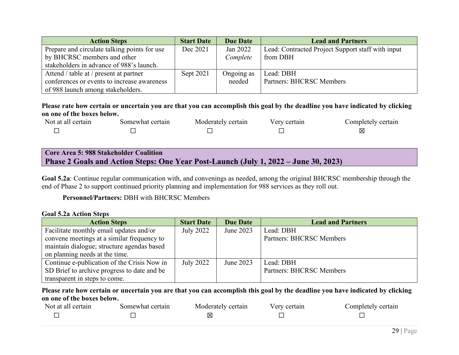| <b>Action Steps</b>                          | <b>Start Date</b> | Due Date   | <b>Lead and Partners</b>                          |
|----------------------------------------------|-------------------|------------|---------------------------------------------------|
| Prepare and circulate talking points for use | Dec 2021          | Jan 2022   | Lead: Contracted Project Support staff with input |
| by BHCRSC members and other                  |                   | Complete   | from DBH                                          |
| stakeholders in advance of 988's launch.     |                   |            |                                                   |
| Attend / table at / present at partner       | Sept 2021         | Ongoing as | Lead: DBH                                         |
| conferences or events to increase awareness  |                   | needed     | <b>Partners: BHCRSC Members</b>                   |
| of 988 launch among stakeholders.            |                   |            |                                                   |

#### **Please rate how certain or uncertain you are that you can accomplish this goal by the deadline you have indicated by clicking on one of the boxes below.**

| Not at all certain | Somewhat certain | Moderately certain | Verv certain | Completely certain |
|--------------------|------------------|--------------------|--------------|--------------------|
|                    |                  |                    |              | ⋉                  |

# **Core Area 5: 988 Stakeholder Coalition Phase 2 Goals and Action Steps: One Year Post-Launch (July 1, 2022 – June 30, 2023)**

**Goal 5.2a**: Continue regular communication with, and convenings as needed, among the original BHCRSC membership through the end of Phase 2 to support continued priority planning and implementation for 988 services as they roll out.

### **Personnel/Partners:** DBH with BHCRSC Members

#### **Goal 5.2a Action Steps**

| <b>Action Steps</b>                         | <b>Start Date</b> | <b>Due Date</b> | <b>Lead and Partners</b> |
|---------------------------------------------|-------------------|-----------------|--------------------------|
| Facilitate monthly email updates and/or     | July 2022         | June 2023       | Lead: DBH                |
| convene meetings at a similar frequency to  |                   |                 | Partners: BHCRSC Members |
| maintain dialogue; structure agendas based  |                   |                 |                          |
| on planning needs at the time.              |                   |                 |                          |
| Continue e-publication of the Crisis Now in | July 2022         | June 2023       | Lead: DBH                |
| SD Brief to archive progress to date and be |                   |                 | Partners: BHCRSC Members |
| transparent in steps to come.               |                   |                 |                          |

| Not at all certain | Somewhat certain | Moderately certain | Very certain | Completely certain |
|--------------------|------------------|--------------------|--------------|--------------------|
|                    |                  |                    |              |                    |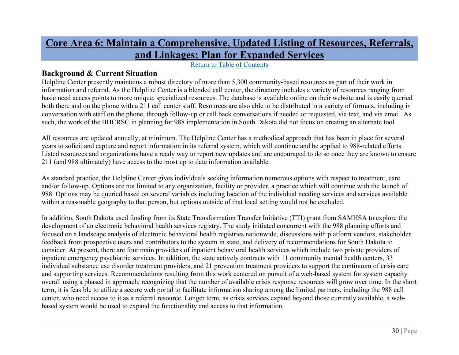# **Core Area 6: Maintain a Comprehensive, Updated Listing of Resources, Referrals, and Linkages; Plan for Expanded Services**

Return to Table of Contents

# **Background & Current Situation**

Helpline Center presently maintains a robust directory of more than 5,300 community-based resources as part of their work in information and referral. As the Helpline Center is a blended call center, the directory includes a variety of resources ranging from basic need access points to more unique, specialized resources. The database is available online on their website and is easily queried both there and on the phone with a 211 call center staff. Resources are also able to be distributed in a variety of formats, including in conversation with staff on the phone, through follow-up or call back conversations if needed or requested, via text, and via email. As such, the work of the BHCRSC in planning for 988 implementation in South Dakota did not focus on creating an alternate tool.

<span id="page-30-0"></span>All resources are updated annually, at minimum. The Helpline Center has a methodical approach that has been in place for several years to solicit and capture and report information in its referral system, which will continue and be applied to 988-related efforts. Listed resources and organizations have a ready way to report new updates and are encouraged to do so once they are known to ensure 211 (and 988 ultimately) have access to the most up to date information available.

As standard practice, the Helpline Center gives individuals seeking information numerous options with respect to treatment, care and/or follow-up. Options are not limited to any organization, facility or provider, a practice which will continue with the launch of 988. Options may be queried based on several variables including location of the individual needing services and services available within a reasonable geography to that person, but options outside of that local setting would not be excluded.

In addition, South Dakota used funding from its State Transformation Transfer Initiative (TTI) grant from SAMHSA to explore the development of an electronic behavioral health services registry. The study initiated concurrent with the 988 planning efforts and focused on a landscape analysis of electronic behavioral health registries nationwide, discussions with platform vendors, stakeholder feedback from prospective users and contributors to the system in state, and delivery of recommendations for South Dakota to consider. At present, there are four main providers of inpatient behavioral health services which include two private providers of inpatient emergency psychiatric services. In addition, the state actively contracts with 11 community mental health centers, 33 individual substance use disorder treatment providers, and 21 prevention treatment providers to support the continuum of crisis care and supporting services. Recommendations resulting from this work centered on pursuit of a web-based system for system capacity overall using a phased in approach, recognizing that the number of available crisis response resources will grow over time. In the short term, it is feasible to utilize a secure web portal to facilitate information sharing among the limited partners, including the 988 call center, who need access to it as a referral resource. Longer term, as crisis services expand beyond those currently available, a webbased system would be used to expand the functionality and access to that information.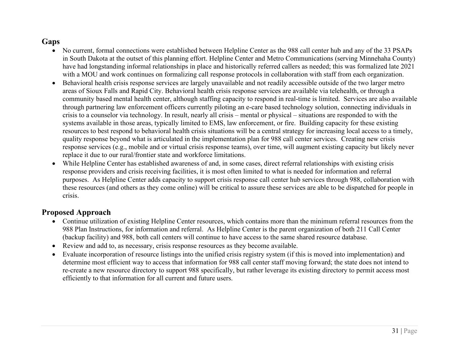# **Gaps**

- No current, formal connections were established between Helpline Center as the 988 call center hub and any of the 33 PSAPs in South Dakota at the outset of this planning effort. Helpline Center and Metro Communications (serving Minnehaha County) have had longstanding informal relationships in place and historically referred callers as needed; this was formalized late 2021 with a MOU and work continues on formalizing call response protocols in collaboration with staff from each organization.
- Behavioral health crisis response services are largely unavailable and not readily accessible outside of the two larger metro areas of Sioux Falls and Rapid City. Behavioral health crisis response services are available via telehealth, or through a community based mental health center, although staffing capacity to respond in real-time is limited. Services are also available through partnering law enforcement officers currently piloting an e-care based technology solution, connecting individuals in crisis to a counselor via technology. In result, nearly all crisis – mental or physical – situations are responded to with the systems available in those areas, typically limited to EMS, law enforcement, or fire. Building capacity for these existing resources to best respond to behavioral health crisis situations will be a central strategy for increasing local access to a timely, quality response beyond what is articulated in the implementation plan for 988 call center services. Creating new crisis response services (e.g., mobile and or virtual crisis response teams), over time, will augment existing capacity but likely never replace it due to our rural/frontier state and workforce limitations.
- While Helpline Center has established awareness of and, in some cases, direct referral relationships with existing crisis response providers and crisis receiving facilities, it is most often limited to what is needed for information and referral purposes. As Helpline Center adds capacity to support crisis response call center hub services through 988, collaboration with these resources (and others as they come online) will be critical to assure these services are able to be dispatched for people in crisis.

# **Proposed Approach**

- Continue utilization of existing Helpline Center resources, which contains more than the minimum referral resources from the 988 Plan Instructions, for information and referral. As Helpline Center is the parent organization of both 211 Call Center (backup facility) and 988, both call centers will continue to have access to the same shared resource database.
- Review and add to, as necessary, crisis response resources as they become available.
- Evaluate incorporation of resource listings into the unified crisis registry system (if this is moved into implementation) and determine most efficient way to access that information for 988 call center staff moving forward; the state does not intend to re-create a new resource directory to support 988 specifically, but rather leverage its existing directory to permit access most efficiently to that information for all current and future users.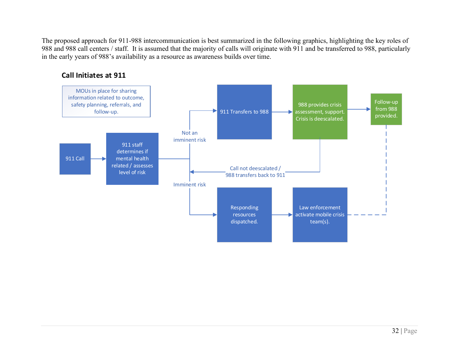The proposed approach for 911-988 intercommunication is best summarized in the following graphics, highlighting the key roles of 988 and 988 call centers / staff. It is assumed that the majority of calls will originate with 911 and be transferred to 988, particularly in the early years of 988's availability as a resource as awareness builds over time.



## **Call Initiates at 911**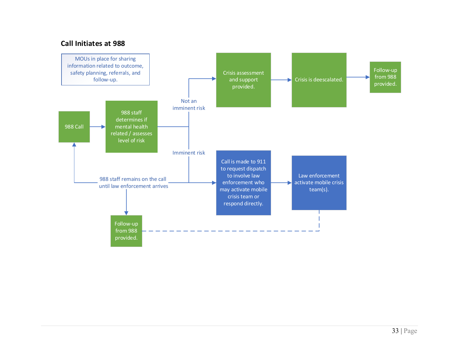## **Call Initiates at 988**

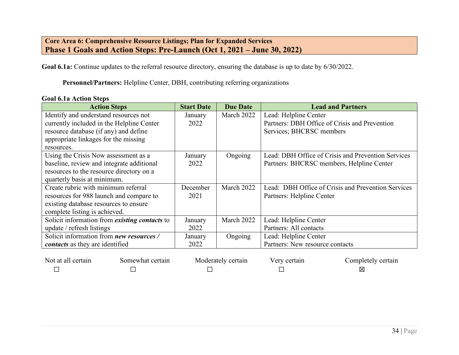# **Core Area 6: Comprehensive Resource Listings; Plan for Expanded Services Phase 1 Goals and Action Steps: Pre-Launch (Oct 1, 2021 – June 30, 2022)**

Goal 6.1a: Continue updates to the referral resource directory, ensuring the database is up to date by 6/30/2022.

**Personnel/Partners:** Helpline Center, DBH, contributing referring organizations

#### **Goal 6.1a Action Steps**

| <b>Action Steps</b>                                  | <b>Start Date</b> | <b>Due Date</b> | <b>Lead and Partners</b>                           |
|------------------------------------------------------|-------------------|-----------------|----------------------------------------------------|
| Identify and understand resources not                | January           | March 2022      | Lead: Helpline Center                              |
| currently included in the Helpline Center            | 2022              |                 | Partners: DBH Office of Crisis and Prevention      |
| resource database (if any) and define                |                   |                 | Services; BHCRSC members                           |
| appropriate linkages for the missing                 |                   |                 |                                                    |
| resources.                                           |                   |                 |                                                    |
| Using the Crisis Now assessment as a                 | January           | Ongoing         | Lead: DBH Office of Crisis and Prevention Services |
| baseline, review and integrate additional            | 2022              |                 | Partners: BHCRSC members, Helpline Center          |
| resources to the resource directory on a             |                   |                 |                                                    |
| quarterly basis at minimum.                          |                   |                 |                                                    |
| Create rubric with minimum referral                  | December          | March 2022      | Lead: DBH Office of Crisis and Prevention Services |
| resources for 988 launch and compare to              | 2021              |                 | Partners: Helpline Center                          |
| existing database resources to ensure                |                   |                 |                                                    |
| complete listing is achieved.                        |                   |                 |                                                    |
| Solicit information from <i>existing contacts</i> to | January           | March 2022      | Lead: Helpline Center                              |
| update / refresh listings                            | 2022              |                 | Partners: All contacts                             |
| Solicit information from <i>new resources</i> /      | January           | Ongoing         | Lead: Helpline Center                              |
| <i>contacts</i> as they are identified               | 2022              |                 | Partners: New resource contacts                    |

| Not at all certain | Somewhat certain | Moderately certain | Very certain | Completely certain |
|--------------------|------------------|--------------------|--------------|--------------------|
|                    |                  |                    |              |                    |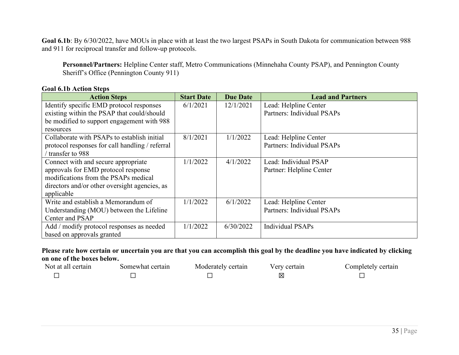**Goal 6.1b**: By 6/30/2022, have MOUs in place with at least the two largest PSAPs in South Dakota for communication between 988 and 911 for reciprocal transfer and follow-up protocols.

**Personnel/Partners:** Helpline Center staff, Metro Communications (Minnehaha County PSAP), and Pennington County Sheriff's Office (Pennington County 911)

|  |  | <b>Goal 6.1b Action Steps</b> |  |  |
|--|--|-------------------------------|--|--|
|--|--|-------------------------------|--|--|

| <b>Action Steps</b>                             | <b>Start Date</b> | <b>Due Date</b> | <b>Lead and Partners</b>   |
|-------------------------------------------------|-------------------|-----------------|----------------------------|
| Identify specific EMD protocol responses        | 6/1/2021          | 12/1/2021       | Lead: Helpline Center      |
| existing within the PSAP that could/should      |                   |                 | Partners: Individual PSAPs |
| be modified to support engagement with 988      |                   |                 |                            |
| resources                                       |                   |                 |                            |
| Collaborate with PSAPs to establish initial     | 8/1/2021          | 1/1/2022        | Lead: Helpline Center      |
| protocol responses for call handling / referral |                   |                 | Partners: Individual PSAPs |
| transfer to 988                                 |                   |                 |                            |
| Connect with and secure appropriate             | 1/1/2022          | 4/1/2022        | Lead: Individual PSAP      |
| approvals for EMD protocol response             |                   |                 | Partner: Helpline Center   |
| modifications from the PSAPs medical            |                   |                 |                            |
| directors and/or other oversight agencies, as   |                   |                 |                            |
| applicable                                      |                   |                 |                            |
| Write and establish a Memorandum of             | 1/1/2022          | 6/1/2022        | Lead: Helpline Center      |
| Understanding (MOU) between the Lifeline        |                   |                 | Partners: Individual PSAPs |
| Center and PSAP                                 |                   |                 |                            |
| Add / modify protocol responses as needed       | 1/1/2022          | 6/30/2022       | <b>Individual PSAPs</b>    |
| based on approvals granted                      |                   |                 |                            |

| Not at all certain | Somewhat certain | Moderately certain | Verv certain | Completely certain |
|--------------------|------------------|--------------------|--------------|--------------------|
|                    |                  |                    | IХ           |                    |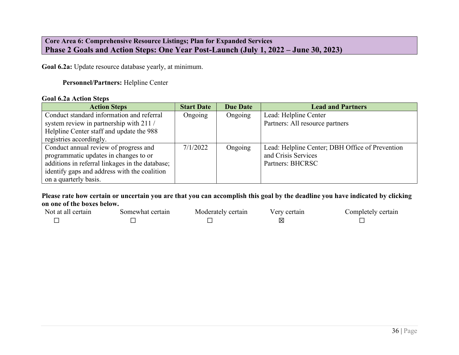## **Core Area 6: Comprehensive Resource Listings; Plan for Expanded Services Phase 2 Goals and Action Steps: One Year Post-Launch (July 1, 2022 – June 30, 2023)**

**Goal 6.2a:** Update resource database yearly, at minimum.

#### **Personnel/Partners:** Helpline Center

#### **Goal 6.2a Action Steps**

| <b>Action Steps</b>                             | <b>Start Date</b> | <b>Due Date</b> | <b>Lead and Partners</b>                        |
|-------------------------------------------------|-------------------|-----------------|-------------------------------------------------|
| Conduct standard information and referral       | Ongoing           | Ongoing         | Lead: Helpline Center                           |
| system review in partnership with 211 /         |                   |                 | Partners: All resource partners                 |
| Helpline Center staff and update the 988        |                   |                 |                                                 |
| registries accordingly.                         |                   |                 |                                                 |
| Conduct annual review of progress and           | 7/1/2022          | Ongoing         | Lead: Helpline Center; DBH Office of Prevention |
| programmatic updates in changes to or           |                   |                 | and Crisis Services                             |
| additions in referral linkages in the database; |                   |                 | Partners: BHCRSC                                |
| identify gaps and address with the coalition    |                   |                 |                                                 |
| on a quarterly basis.                           |                   |                 |                                                 |

| Not at all certain | Somewhat certain | Moderately certain | Very certain | Completely certain |
|--------------------|------------------|--------------------|--------------|--------------------|
|                    |                  |                    | ⊠            |                    |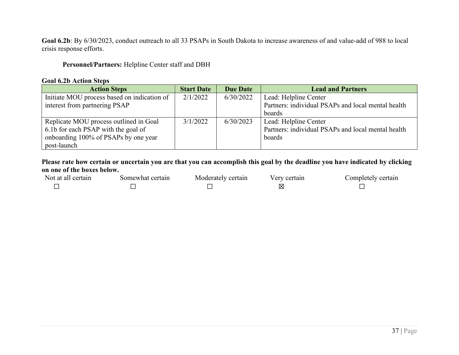**Goal 6.2b**: By 6/30/2023, conduct outreach to all 33 PSAPs in South Dakota to increase awareness of and value-add of 988 to local crisis response efforts.

### **Personnel/Partners:** Helpline Center staff and DBH

#### **Goal 6.2b Action Steps**

| <b>Action Steps</b>                         | <b>Start Date</b> | <b>Due Date</b> | <b>Lead and Partners</b>                           |
|---------------------------------------------|-------------------|-----------------|----------------------------------------------------|
| Initiate MOU process based on indication of | 2/1/2022          | 6/30/2022       | Lead: Helpline Center                              |
| interest from partnering PSAP               |                   |                 | Partners: individual PSAPs and local mental health |
|                                             |                   |                 | boards                                             |
| Replicate MOU process outlined in Goal      | 3/1/2022          | 6/30/2023       | Lead: Helpline Center                              |
| 6.1b for each PSAP with the goal of         |                   |                 | Partners: individual PSAPs and local mental health |
| onboarding 100% of PSAPs by one year        |                   |                 | boards                                             |
| post-launch                                 |                   |                 |                                                    |

| Not at all certain | Somewhat certain | Moderately certain | Very certain | Completely certain |
|--------------------|------------------|--------------------|--------------|--------------------|
|                    |                  |                    |              |                    |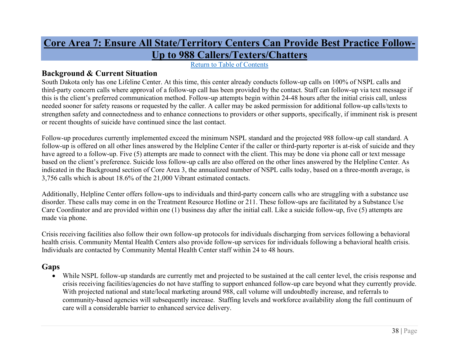# **Core Area 7: Ensure All State/Territory Centers Can Provide Best Practice Follow-Up to 988 Callers/Texters/Chatters**

Return to Table of Contents

# **Background & Current Situation**

South Dakota only has one Lifeline Center. At this time, this center already conducts follow-up calls on 100% of NSPL calls and third-party concern calls where approval of a follow-up call has been provided by the contact. Staff can follow-up via text message if this is the client's preferred communication method. Follow-up attempts begin within 24-48 hours after the initial crisis call, unless needed sooner for safety reasons or requested by the caller. A caller may be asked permission for additional follow-up calls/texts to strengthen safety and connectedness and to enhance connections to providers or other supports, specifically, if imminent risk is present or recent thoughts of suicide have continued since the last contact.

<span id="page-38-0"></span>Follow-up procedures currently implemented exceed the minimum NSPL standard and the projected 988 follow-up call standard. A follow-up is offered on all other lines answered by the Helpline Center if the caller or third-party reporter is at-risk of suicide and they have agreed to a follow-up. Five (5) attempts are made to connect with the client. This may be done via phone call or text message based on the client's preference. Suicide loss follow-up calls are also offered on the other lines answered by the Helpline Center. As indicated in the Background section of Core Area 3, the annualized number of NSPL calls today, based on a three-month average, is 3,756 calls which is about 18.6% of the 21,000 Vibrant estimated contacts.

Additionally, Helpline Center offers follow-ups to individuals and third-party concern calls who are struggling with a substance use disorder. These calls may come in on the Treatment Resource Hotline or 211. These follow-ups are facilitated by a Substance Use Care Coordinator and are provided within one (1) business day after the initial call. Like a suicide follow-up, five (5) attempts are made via phone.

Crisis receiving facilities also follow their own follow-up protocols for individuals discharging from services following a behavioral health crisis. Community Mental Health Centers also provide follow-up services for individuals following a behavioral health crisis. Individuals are contacted by Community Mental Health Center staff within 24 to 48 hours.

# **Gaps**

• While NSPL follow-up standards are currently met and projected to be sustained at the call center level, the crisis response and crisis receiving facilities/agencies do not have staffing to support enhanced follow-up care beyond what they currently provide. With projected national and state/local marketing around 988, call volume will undoubtedly increase, and referrals to community-based agencies will subsequently increase. Staffing levels and workforce availability along the full continuum of care will a considerable barrier to enhanced service delivery.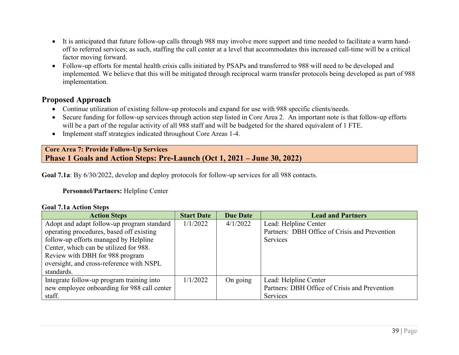- It is anticipated that future follow-up calls through 988 may involve more support and time needed to facilitate a warm handoff to referred services; as such, staffing the call center at a level that accommodates this increased call-time will be a critical factor moving forward.
- Follow-up efforts for mental health crisis calls initiated by PSAPs and transferred to 988 will need to be developed and implemented. We believe that this will be mitigated through reciprocal warm transfer protocols being developed as part of 988 implementation.

# **Proposed Approach**

- Continue utilization of existing follow-up protocols and expand for use with 988 specific clients/needs.
- Secure funding for follow-up services through action step listed in Core Area 2. An important note is that follow-up efforts will be a part of the regular activity of all 988 staff and will be budgeted for the shared equivalent of 1 FTE.
- Implement staff strategies indicated throughout Core Areas 1-4.

### **Core Area 7: Provide Follow-Up Services Phase 1 Goals and Action Steps: Pre-Launch (Oct 1, 2021 – June 30, 2022)**

**Goal 7.1a**: By 6/30/2022, develop and deploy protocols for follow-up services for all 988 contacts.

## **Personnel/Partners:** Helpline Center

#### **Goal 7.1a Action Steps**

| <b>Action Steps</b>                         | <b>Start Date</b> | <b>Due Date</b> | <b>Lead and Partners</b>                      |
|---------------------------------------------|-------------------|-----------------|-----------------------------------------------|
| Adopt and adapt follow-up program standard  | 1/1/2022          | 4/1/2022        | Lead: Helpline Center                         |
| operating procedures, based off existing    |                   |                 | Partners: DBH Office of Crisis and Prevention |
| follow-up efforts managed by Helpline       |                   |                 | Services                                      |
| Center, which can be utilized for 988.      |                   |                 |                                               |
| Review with DBH for 988 program             |                   |                 |                                               |
| oversight, and cross-reference with NSPL    |                   |                 |                                               |
| standards.                                  |                   |                 |                                               |
| Integrate follow-up program training into   | 1/1/2022          | On going        | Lead: Helpline Center                         |
| new employee onboarding for 988 call center |                   |                 | Partners: DBH Office of Crisis and Prevention |
| staff.                                      |                   |                 | Services                                      |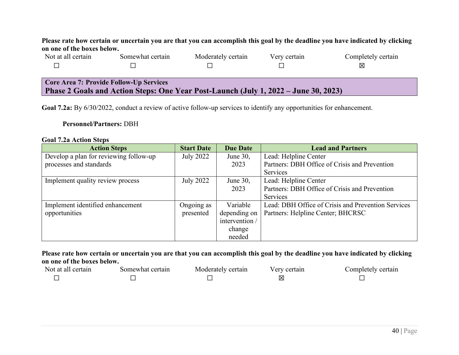**Please rate how certain or uncertain you are that you can accomplish this goal by the deadline you have indicated by clicking on one of the boxes below.**

| Not at all certain | Somewhat certain                        | Moderately certain | Very certain | Completely certain |
|--------------------|-----------------------------------------|--------------------|--------------|--------------------|
|                    |                                         |                    |              | ⋈                  |
|                    |                                         |                    |              |                    |
|                    | Core Area 7: Provide Follow-Up Services |                    |              |                    |

**Phase 2 Goals and Action Steps: One Year Post-Launch (July 1, 2022 – June 30, 2023)**

**Goal 7.2a:** By 6/30/2022, conduct a review of active follow-up services to identify any opportunities for enhancement.

### **Personnel/Partners:** DBH

| <b>Goal 7.2a Action Steps</b> |  |  |
|-------------------------------|--|--|
|-------------------------------|--|--|

| <b>Action Steps</b>                    | <b>Start Date</b> | <b>Due Date</b> | <b>Lead and Partners</b>                           |
|----------------------------------------|-------------------|-----------------|----------------------------------------------------|
| Develop a plan for reviewing follow-up | July 2022         | June 30,        | Lead: Helpline Center                              |
| processes and standards                |                   | 2023            | Partners: DBH Office of Crisis and Prevention      |
|                                        |                   |                 | Services                                           |
| Implement quality review process       | July 2022         | June $30$ ,     | Lead: Helpline Center                              |
|                                        |                   | 2023            | Partners: DBH Office of Crisis and Prevention      |
|                                        |                   |                 | Services                                           |
| Implement identified enhancement       | Ongoing as        | Variable        | Lead: DBH Office of Crisis and Prevention Services |
| opportunities                          | presented         | depending on    | Partners: Helpline Center; BHCRSC                  |
|                                        |                   | intervention /  |                                                    |
|                                        |                   | change          |                                                    |
|                                        |                   | needed          |                                                    |

| Not at all certain | Somewhat certain | Moderately certain | very certair | ∴ompletely certain |
|--------------------|------------------|--------------------|--------------|--------------------|
|                    |                  |                    |              |                    |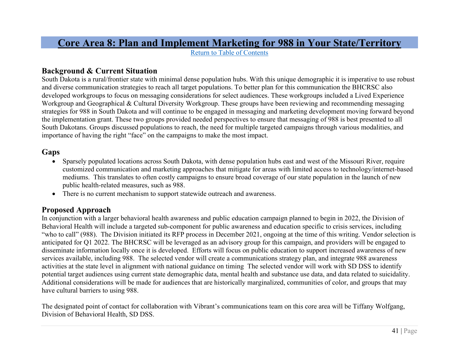# **Core Area 8: Plan and Implement Marketing for 988 in Your State/Territory**

Return to Table of Contents

# **Background & Current Situation**

South Dakota is a rural/frontier state with minimal dense population hubs. With this unique demographic it is imperative to use robust and diverse communication strategies to reach all target populations. To better plan for this communication the BHCRSC also developed workgroups to focus on messaging considerations for select audiences. These workgroups included a Lived Experience Workgroup and Geographical & Cultural Diversity Workgroup. These groups have been reviewing and recommending messaging strategies for 988 in South Dakota and will continue to be engaged in messaging and marketing development moving forward beyond the implementation grant. These two groups provided needed perspectives to ensure that messaging of 988 is best presented to all South Dakotans. Groups discussed populations to reach, the need for multiple targeted campaigns through various modalities, and importance of having the right "face" on the campaigns to make the most impact.

# <span id="page-41-0"></span>**Gaps**

- Sparsely populated locations across South Dakota, with dense population hubs east and west of the Missouri River, require customized communication and marketing approaches that mitigate for areas with limited access to technology/internet-based mediums. This translates to often costly campaigns to ensure broad coverage of our state population in the launch of new public health-related measures, such as 988.
- There is no current mechanism to support statewide outreach and awareness.

# **Proposed Approach**

In conjunction with a larger behavioral health awareness and public education campaign planned to begin in 2022, the Division of Behavioral Health will include a targeted sub-component for public awareness and education specific to crisis services, including "who to call" (988). The Division initiated its RFP process in December 2021, ongoing at the time of this writing. Vendor selection is anticipated for Q1 2022. The BHCRSC will be leveraged as an advisory group for this campaign, and providers will be engaged to disseminate information locally once it is developed. Efforts will focus on public education to support increased awareness of new services available, including 988. The selected vendor will create a communications strategy plan, and integrate 988 awareness activities at the state level in alignment with national guidance on timing The selected vendor will work with SD DSS to identify potential target audiences using current state demographic data, mental health and substance use data, and data related to suicidality. Additional considerations will be made for audiences that are historically marginalized, communities of color, and groups that may have cultural barriers to using 988.

The designated point of contact for collaboration with Vibrant's communications team on this core area will be Tiffany Wolfgang, Division of Behavioral Health, SD DSS.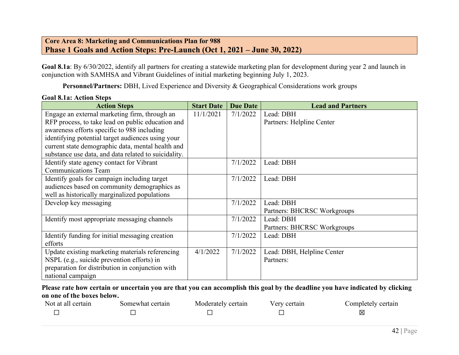## **Core Area 8: Marketing and Communications Plan for 988 Phase 1 Goals and Action Steps: Pre-Launch (Oct 1, 2021 – June 30, 2022)**

**Goal 8.1a**: By 6/30/2022, identify all partners for creating a statewide marketing plan for development during year 2 and launch in conjunction with SAMHSA and Vibrant Guidelines of initial marketing beginning July 1, 2023.

Personnel/Partners: DBH, Lived Experience and Diversity & Geographical Considerations work groups

#### **Goal 8.1a: Action Steps**

| <b>Action Steps</b>                                  | <b>Start Date</b> | <b>Due Date</b> | <b>Lead and Partners</b>    |
|------------------------------------------------------|-------------------|-----------------|-----------------------------|
| Engage an external marketing firm, through an        | 11/1/2021         | 7/1/2022        | Lead: DBH                   |
| RFP process, to take lead on public education and    |                   |                 | Partners: Helpline Center   |
| awareness efforts specific to 988 including          |                   |                 |                             |
| identifying potential target audiences using your    |                   |                 |                             |
| current state demographic data, mental health and    |                   |                 |                             |
| substance use data, and data related to suicidality. |                   |                 |                             |
| Identify state agency contact for Vibrant            |                   | 7/1/2022        | Lead: DBH                   |
| <b>Communications Team</b>                           |                   |                 |                             |
| Identify goals for campaign including target         |                   | 7/1/2022        | Lead: DBH                   |
| audiences based on community demographics as         |                   |                 |                             |
| well as historically marginalized populations        |                   |                 |                             |
| Develop key messaging                                |                   | 7/1/2022        | Lead: DBH                   |
|                                                      |                   |                 | Partners: BHCRSC Workgroups |
| Identify most appropriate messaging channels         |                   | 7/1/2022        | Lead: DBH                   |
|                                                      |                   |                 | Partners: BHCRSC Workgroups |
| Identify funding for initial messaging creation      |                   | 7/1/2022        | Lead: DBH                   |
| efforts                                              |                   |                 |                             |
| Update existing marketing materials referencing      | 4/1/2022          | 7/1/2022        | Lead: DBH, Helpline Center  |
| NSPL (e.g., suicide prevention efforts) in           |                   |                 | Partners:                   |
| preparation for distribution in conjunction with     |                   |                 |                             |
| national campaign                                    |                   |                 |                             |

| Not at all certain | Somewhat certain | Moderately certain | Very certain | Completely certain |
|--------------------|------------------|--------------------|--------------|--------------------|
|                    |                  |                    |              | X                  |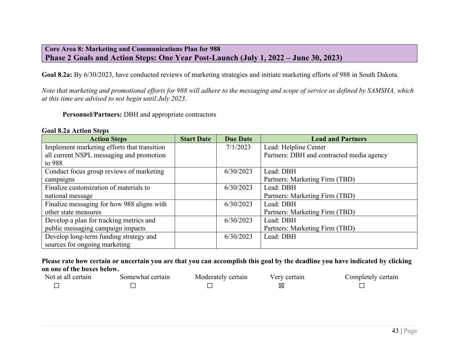### **Core Area 8: Marketing and Communications Plan for 988 Phase 2 Goals and Action Steps: One Year Post-Launch (July 1, 2022 – June 30, 2023)**

**Goal 8.2a:** By 6/30/2023, have conducted reviews of marketing strategies and initiate marketing efforts of 988 in South Dakota.

*Note that marketing and promotional efforts for 988 will adhere to the messaging and scope of service as defined by SAMSHA, which at this time are advised to not begin until July 2023*.

**Personnel/Partners:** DBH and appropriate contractors

#### **Goal 8.2a Action Steps**

| <b>Action Steps</b>                         | <b>Start Date</b> | <b>Due Date</b> | <b>Lead and Partners</b>                  |
|---------------------------------------------|-------------------|-----------------|-------------------------------------------|
| Implement marketing efforts that transition |                   | 7/1/2023        | Lead: Helpline Center                     |
| all current NSPL messaging and promotion    |                   |                 | Partners: DBH and contracted media agency |
| to 988                                      |                   |                 |                                           |
| Conduct focus group reviews of marketing    |                   | 6/30/2023       | Lead: DBH                                 |
| campaigns                                   |                   |                 | Partners: Marketing Firm (TBD)            |
| Finalize customization of materials to      |                   | 6/30/2023       | Lead: DBH                                 |
| national message                            |                   |                 | Partners: Marketing Firm (TBD)            |
| Finalize messaging for how 988 aligns with  |                   | 6/30/2023       | Lead: DBH                                 |
| other state measures                        |                   |                 | Partners: Marketing Firm (TBD)            |
| Develop a plan for tracking metrics and     |                   | 6/30/2023       | Lead: DBH                                 |
| public messaging campaign impacts           |                   |                 | Partners: Marketing Firm (TBD)            |
| Develop long-term funding strategy and      |                   | 6/30/2023       | Lead: DBH                                 |
| sources for ongoing marketing               |                   |                 |                                           |

| Not at all certain | Somewhat certain | Moderately certain | Very certain | Completely certain |
|--------------------|------------------|--------------------|--------------|--------------------|
|                    |                  |                    |              |                    |